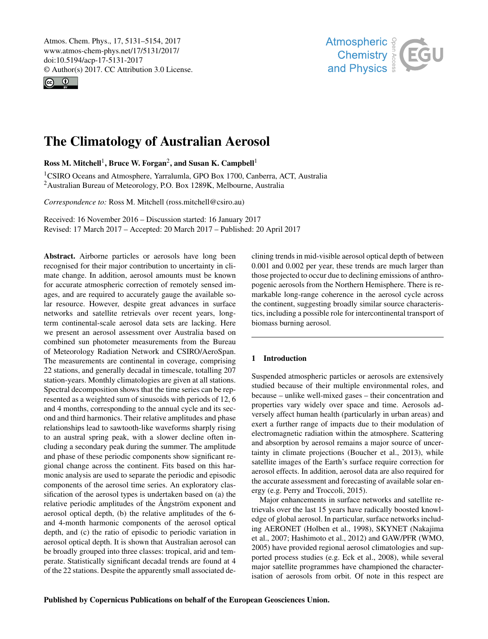<span id="page-0-1"></span>Atmos. Chem. Phys., 17, 5131–5154, 2017 www.atmos-chem-phys.net/17/5131/2017/ doi:10.5194/acp-17-5131-2017 © Author(s) 2017. CC Attribution 3.0 License.





# The Climatology of Australian Aerosol

Ross M. Mitchell<sup>[1](#page-0-0)</sup>, Bruce W. Forgan<sup>[2](#page-0-0)</sup>, and Susan K. Campbell<sup>1</sup>

<sup>1</sup>CSIRO Oceans and Atmosphere, Yarralumla, GPO Box 1700, Canberra, ACT, Australia <sup>2</sup>Australian Bureau of Meteorology, P.O. Box 1289K, Melbourne, Australia

*Correspondence to:* Ross M. Mitchell (ross.mitchell@csiro.au)

Received: 16 November 2016 – Discussion started: 16 January 2017 Revised: 17 March 2017 – Accepted: 20 March 2017 – Published: 20 April 2017

<span id="page-0-0"></span>Abstract. Airborne particles or aerosols have long been recognised for their major contribution to uncertainty in climate change. In addition, aerosol amounts must be known for accurate atmospheric correction of remotely sensed images, and are required to accurately gauge the available solar resource. However, despite great advances in surface networks and satellite retrievals over recent years, longterm continental-scale aerosol data sets are lacking. Here we present an aerosol assessment over Australia based on combined sun photometer measurements from the Bureau of Meteorology Radiation Network and CSIRO/AeroSpan. The measurements are continental in coverage, comprising 22 stations, and generally decadal in timescale, totalling 207 station-years. Monthly climatologies are given at all stations. Spectral decomposition shows that the time series can be represented as a weighted sum of sinusoids with periods of 12, 6 and 4 months, corresponding to the annual cycle and its second and third harmonics. Their relative amplitudes and phase relationships lead to sawtooth-like waveforms sharply rising to an austral spring peak, with a slower decline often including a secondary peak during the summer. The amplitude and phase of these periodic components show significant regional change across the continent. Fits based on this harmonic analysis are used to separate the periodic and episodic components of the aerosol time series. An exploratory classification of the aerosol types is undertaken based on (a) the relative periodic amplitudes of the Ångström exponent and aerosol optical depth, (b) the relative amplitudes of the 6 and 4-month harmonic components of the aerosol optical depth, and (c) the ratio of episodic to periodic variation in aerosol optical depth. It is shown that Australian aerosol can be broadly grouped into three classes: tropical, arid and temperate. Statistically significant decadal trends are found at 4 of the 22 stations. Despite the apparently small associated declining trends in mid-visible aerosol optical depth of between 0.001 and 0.002 per year, these trends are much larger than those projected to occur due to declining emissions of anthropogenic aerosols from the Northern Hemisphere. There is remarkable long-range coherence in the aerosol cycle across the continent, suggesting broadly similar source characteristics, including a possible role for intercontinental transport of biomass burning aerosol.

# 1 Introduction

Suspended atmospheric particles or aerosols are extensively studied because of their multiple environmental roles, and because – unlike well-mixed gases – their concentration and properties vary widely over space and time. Aerosols adversely affect human health (particularly in urban areas) and exert a further range of impacts due to their modulation of electromagnetic radiation within the atmosphere. Scattering and absorption by aerosol remains a major source of uncertainty in climate projections [\(Boucher et al.,](#page-22-0) [2013\)](#page-22-0), while satellite images of the Earth's surface require correction for aerosol effects. In addition, aerosol data are also required for the accurate assessment and forecasting of available solar energy (e.g. [Perry and Troccoli,](#page-23-0) [2015\)](#page-23-0).

Major enhancements in surface networks and satellite retrievals over the last 15 years have radically boosted knowledge of global aerosol. In particular, surface networks including AERONET [\(Holben et al.,](#page-22-1) [1998\)](#page-22-1), SKYNET [\(Nakajima](#page-22-2) [et al.,](#page-22-2) [2007;](#page-22-2) [Hashimoto et al.,](#page-22-3) [2012\)](#page-22-3) and GAW/PFR [\(WMO,](#page-23-1) [2005\)](#page-23-1) have provided regional aerosol climatologies and supported process studies (e.g. [Eck et al.,](#page-22-4) [2008\)](#page-22-4), while several major satellite programmes have championed the characterisation of aerosols from orbit. Of note in this respect are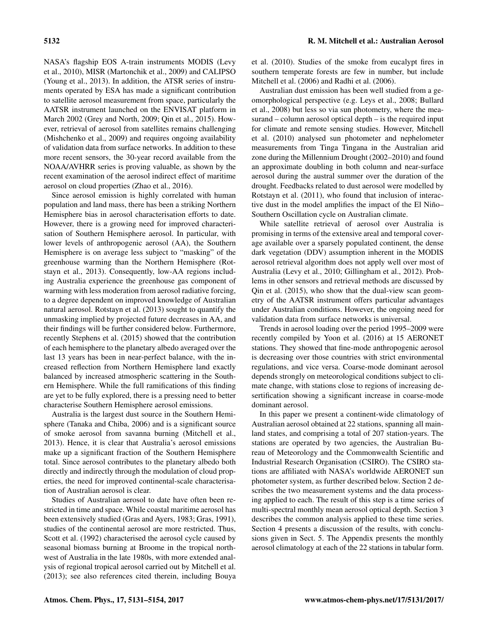NASA's flagship EOS A-train instruments MODIS [\(Levy](#page-22-5) [et al.,](#page-22-5) [2010\)](#page-22-5), MISR [\(Martonchik et al.,](#page-22-6) [2009\)](#page-22-6) and CALIPSO [\(Young et al.,](#page-23-2) [2013\)](#page-23-2). In addition, the ATSR series of instruments operated by ESA has made a significant contribution to satellite aerosol measurement from space, particularly the AATSR instrument launched on the ENVISAT platform in March 2002 [\(Grey and North,](#page-22-7) [2009;](#page-22-7) [Qin et al.,](#page-23-3) [2015\)](#page-23-3). However, retrieval of aerosol from satellites remains challenging [\(Mishchenko et al.,](#page-22-8) [2009\)](#page-22-8) and requires ongoing availability of validation data from surface networks. In addition to these more recent sensors, the 30-year record available from the NOAA/AVHRR series is proving valuable, as shown by the recent examination of the aerosol indirect effect of maritime aerosol on cloud properties [\(Zhao et al.,](#page-23-4) [2016\)](#page-23-4).

Since aerosol emission is highly correlated with human population and land mass, there has been a striking Northern Hemisphere bias in aerosol characterisation efforts to date. However, there is a growing need for improved characterisation of Southern Hemisphere aerosol. In particular, with lower levels of anthropogenic aerosol (AA), the Southern Hemisphere is on average less subject to "masking" of the greenhouse warming than the Northern Hemisphere [\(Rot](#page-23-5)[stayn et al.,](#page-23-5) [2013\)](#page-23-5). Consequently, low-AA regions including Australia experience the greenhouse gas component of warming with less moderation from aerosol radiative forcing, to a degree dependent on improved knowledge of Australian natural aerosol. [Rotstayn et al.](#page-23-5) [\(2013\)](#page-23-5) sought to quantify the unmasking implied by projected future decreases in AA, and their findings will be further considered below. Furthermore, recently [Stephens et al.](#page-23-6) [\(2015\)](#page-23-6) showed that the contribution of each hemisphere to the planetary albedo averaged over the last 13 years has been in near-perfect balance, with the increased reflection from Northern Hemisphere land exactly balanced by increased atmospheric scattering in the Southern Hemisphere. While the full ramifications of this finding are yet to be fully explored, there is a pressing need to better characterise Southern Hemisphere aerosol emissions.

Australia is the largest dust source in the Southern Hemisphere [\(Tanaka and Chiba,](#page-23-7) [2006\)](#page-23-7) and is a significant source of smoke aerosol from savanna burning [\(Mitchell et al.,](#page-22-9) [2013\)](#page-22-9). Hence, it is clear that Australia's aerosol emissions make up a significant fraction of the Southern Hemisphere total. Since aerosol contributes to the planetary albedo both directly and indirectly through the modulation of cloud properties, the need for improved continental-scale characterisation of Australian aerosol is clear.

Studies of Australian aerosol to date have often been restricted in time and space. While coastal maritime aerosol has been extensively studied [\(Gras and Ayers,](#page-22-10) [1983;](#page-22-10) [Gras,](#page-22-11) [1991\)](#page-22-11), studies of the continental aerosol are more restricted. Thus, [Scott et al.](#page-23-8) [\(1992\)](#page-23-8) characterised the aerosol cycle caused by seasonal biomass burning at Broome in the tropical northwest of Australia in the late 1980s, with more extended analysis of regional tropical aerosol carried out by [Mitchell et al.](#page-22-9) [\(2013\)](#page-22-9); see also references cited therein, including [Bouya](#page-22-12) [et al.](#page-22-12) [\(2010\)](#page-22-12). Studies of the smoke from eucalypt fires in southern temperate forests are few in number, but include [Mitchell et al.](#page-22-13) [\(2006\)](#page-22-13) and [Radhi et al.](#page-23-9) [\(2006\)](#page-23-9).

Australian dust emission has been well studied from a geomorphological perspective (e.g. [Leys et al.,](#page-22-14) [2008;](#page-22-14) [Bullard](#page-22-15) [et al.,](#page-22-15) [2008\)](#page-22-15) but less so via sun photometry, where the measurand – column aerosol optical depth – is the required input for climate and remote sensing studies. However, [Mitchell](#page-22-16) [et al.](#page-22-16) [\(2010\)](#page-22-16) analysed sun photometer and nephelometer measurements from Tinga Tingana in the Australian arid zone during the Millennium Drought (2002–2010) and found an approximate doubling in both column and near-surface aerosol during the austral summer over the duration of the drought. Feedbacks related to dust aerosol were modelled by [Rotstayn et al.](#page-23-10) [\(2011\)](#page-23-10), who found that inclusion of interactive dust in the model amplifies the impact of the El Niño– Southern Oscillation cycle on Australian climate.

While satellite retrieval of aerosol over Australia is promising in terms of the extensive areal and temporal coverage available over a sparsely populated continent, the dense dark vegetation (DDV) assumption inherent in the MODIS aerosol retrieval algorithm does not apply well over most of Australia [\(Levy et al.,](#page-22-5) [2010;](#page-22-5) [Gillingham et al.,](#page-22-17) [2012\)](#page-22-17). Problems in other sensors and retrieval methods are discussed by [Qin et al.](#page-23-3) [\(2015\)](#page-23-3), who show that the dual-view scan geometry of the AATSR instrument offers particular advantages under Australian conditions. However, the ongoing need for validation data from surface networks is universal.

Trends in aerosol loading over the period 1995–2009 were recently compiled by [Yoon et al.](#page-23-11) [\(2016\)](#page-23-11) at 15 AERONET stations. They showed that fine-mode anthropogenic aerosol is decreasing over those countries with strict environmental regulations, and vice versa. Coarse-mode dominant aerosol depends strongly on meteorological conditions subject to climate change, with stations close to regions of increasing desertification showing a significant increase in coarse-mode dominant aerosol.

In this paper we present a continent-wide climatology of Australian aerosol obtained at 22 stations, spanning all mainland states, and comprising a total of 207 station-years. The stations are operated by two agencies, the Australian Bureau of Meteorology and the Commonwealth Scientific and Industrial Research Organisation (CSIRO). The CSIRO stations are affiliated with NASA's worldwide AERONET sun photometer system, as further described below. Section 2 describes the two measurement systems and the data processing applied to each. The result of this step is a time series of multi-spectral monthly mean aerosol optical depth. Section 3 describes the common analysis applied to these time series. Section 4 presents a discussion of the results, with conclusions given in Sect. 5. The Appendix presents the monthly aerosol climatology at each of the 22 stations in tabular form.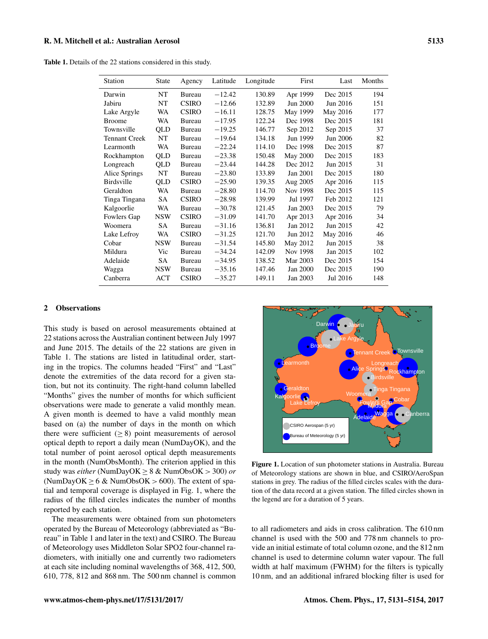<span id="page-2-0"></span>Table 1. Details of the 22 stations considered in this study.

| Station              | <b>State</b> | Agency       | Latitude | Longitude | First    | Last     | Months |
|----------------------|--------------|--------------|----------|-----------|----------|----------|--------|
| Darwin               | NT           | Bureau       | $-12.42$ | 130.89    | Apr 1999 | Dec 2015 | 194    |
| Jabiru               | NT           | <b>CSIRO</b> | $-12.66$ | 132.89    | Jun 2000 | Jun 2016 | 151    |
| Lake Argyle          | WA           | <b>CSIRO</b> | $-16.11$ | 128.75    | May 1999 | May 2016 | 177    |
| <b>Broome</b>        | WA           | Bureau       | $-17.95$ | 122.24    | Dec 1998 | Dec 2015 | 181    |
| Townsville           | QLD          | Bureau       | $-19.25$ | 146.77    | Sep 2012 | Sep 2015 | 37     |
| <b>Tennant Creek</b> | NT           | Bureau       | $-19.64$ | 134.18    | Jun 1999 | Jun 2006 | 82     |
| Learmonth            | WA           | Bureau       | $-22.24$ | 114.10    | Dec 1998 | Dec 2015 | 87     |
| Rockhampton          | QLD          | Bureau       | $-23.38$ | 150.48    | May 2000 | Dec 2015 | 183    |
| Longreach            | QLD          | Bureau       | $-23.44$ | 144.28    | Dec 2012 | Jun 2015 | 31     |
| Alice Springs        | NT           | Bureau       | $-23.80$ | 133.89    | Jan 2001 | Dec 2015 | 180    |
| <b>Birdsville</b>    | <b>OLD</b>   | <b>CSIRO</b> | $-25.90$ | 139.35    | Aug 2005 | Apr 2016 | 115    |
| Geraldton            | WA           | Bureau       | $-28.80$ | 114.70    | Nov 1998 | Dec 2015 | 115    |
| Tinga Tingana        | SA           | <b>CSIRO</b> | $-28.98$ | 139.99    | Jul 1997 | Feb 2012 | 121    |
| Kalgoorlie           | WA           | Bureau       | $-30.78$ | 121.45    | Jan 2003 | Dec 2015 | 79     |
| Fowlers Gap          | <b>NSW</b>   | <b>CSIRO</b> | $-31.09$ | 141.70    | Apr 2013 | Apr 2016 | 34     |
| Woomera              | <b>SA</b>    | Bureau       | $-31.16$ | 136.81    | Jan 2012 | Jun 2015 | 42     |
| Lake Lefroy          | WA           | <b>CSIRO</b> | $-31.25$ | 121.70    | Jun 2012 | May 2016 | 46     |
| Cobar                | <b>NSW</b>   | Bureau       | $-31.54$ | 145.80    | May 2012 | Jun 2015 | 38     |
| Mildura              | Vic          | Bureau       | $-34.24$ | 142.09    | Nov 1998 | Jan 2015 | 102    |
| Adelaide             | <b>SA</b>    | Bureau       | $-34.95$ | 138.52    | Mar 2003 | Dec 2015 | 154    |
| Wagga                | <b>NSW</b>   | Bureau       | $-35.16$ | 147.46    | Jan 2000 | Dec 2015 | 190    |
| Canberra             | ACT          | <b>CSIRO</b> | $-35.27$ | 149.11    | Jan 2003 | Jul 2016 | 148    |

#### 2 Observations

This study is based on aerosol measurements obtained at 22 stations across the Australian continent between July 1997 and June 2015. The details of the 22 stations are given in Table [1.](#page-2-0) The stations are listed in latitudinal order, starting in the tropics. The columns headed "First" and "Last" denote the extremities of the data record for a given station, but not its continuity. The right-hand column labelled "Months" gives the number of months for which sufficient observations were made to generate a valid monthly mean. A given month is deemed to have a valid monthly mean based on (a) the number of days in the month on which there were sufficient  $(≥ 8)$  point measurements of aerosol optical depth to report a daily mean (NumDayOK), and the total number of point aerosol optical depth measurements in the month (NumObsMonth). The criterion applied in this study was *either* (NumDayOK ≥ 8 & NumObsOK > 300) *or* (NumDayOK  $\geq 6$  & NumObsOK  $> 600$ ). The extent of spatial and temporal coverage is displayed in Fig. [1,](#page-2-1) where the radius of the filled circles indicates the number of months reported by each station.

The measurements were obtained from sun photometers operated by the Bureau of Meteorology (abbreviated as "Bureau" in Table [1](#page-2-0) and later in the text) and CSIRO. The Bureau of Meteorology uses Middleton Solar SPO2 four-channel radiometers, with initially one and currently two radiometers at each site including nominal wavelengths of 368, 412, 500, 610, 778, 812 and 868 nm. The 500 nm channel is common

<span id="page-2-1"></span>

Figure 1. Location of sun photometer stations in Australia. Bureau of Meteorology stations are shown in blue, and CSIRO/AeroSpan stations in grey. The radius of the filled circles scales with the duration of the data record at a given station. The filled circles shown in the legend are for a duration of 5 years.

to all radiometers and aids in cross calibration. The 610 nm channel is used with the 500 and 778 nm channels to provide an initial estimate of total column ozone, and the 812 nm channel is used to determine column water vapour. The full width at half maximum (FWHM) for the filters is typically 10 nm, and an additional infrared blocking filter is used for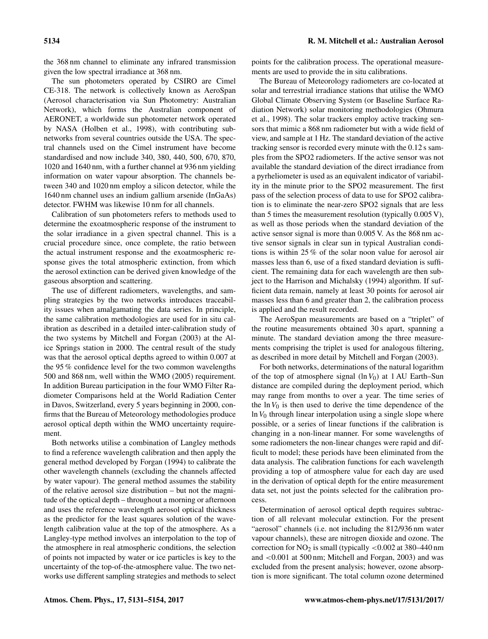the 368 nm channel to eliminate any infrared transmission given the low spectral irradiance at 368 nm.

The sun photometers operated by CSIRO are Cimel CE-318. The network is collectively known as AeroSpan (Aerosol characterisation via Sun Photometry: Australian Network), which forms the Australian component of AERONET, a worldwide sun photometer network operated by NASA [\(Holben et al.,](#page-22-1) [1998\)](#page-22-1), with contributing subnetworks from several countries outside the USA. The spectral channels used on the Cimel instrument have become standardised and now include 340, 380, 440, 500, 670, 870, 1020 and 1640 nm, with a further channel at 936 nm yielding information on water vapour absorption. The channels between 340 and 1020 nm employ a silicon detector, while the 1640 nm channel uses an indium gallium arsenide (InGaAs) detector. FWHM was likewise 10 nm for all channels.

Calibration of sun photometers refers to methods used to determine the exoatmospheric response of the instrument to the solar irradiance in a given spectral channel. This is a crucial procedure since, once complete, the ratio between the actual instrument response and the exoatmospheric response gives the total atmospheric extinction, from which the aerosol extinction can be derived given knowledge of the gaseous absorption and scattering.

The use of different radiometers, wavelengths, and sampling strategies by the two networks introduces traceability issues when amalgamating the data series. In principle, the same calibration methodologies are used for in situ calibration as described in a detailed inter-calibration study of the two systems by [Mitchell and Forgan](#page-22-18) [\(2003\)](#page-22-18) at the Alice Springs station in 2000. The central result of the study was that the aerosol optical depths agreed to within 0.007 at the 95 % confidence level for the two common wavelengths 500 and 868 nm, well within the [WMO](#page-23-1) [\(2005\)](#page-23-1) requirement. In addition Bureau participation in the four WMO Filter Radiometer Comparisons held at the World Radiation Center in Davos, Switzerland, every 5 years beginning in 2000, confirms that the Bureau of Meteorology methodologies produce aerosol optical depth within the WMO uncertainty requirement.

Both networks utilise a combination of Langley methods to find a reference wavelength calibration and then apply the general method developed by [Forgan](#page-22-19) [\(1994\)](#page-22-19) to calibrate the other wavelength channels (excluding the channels affected by water vapour). The general method assumes the stability of the relative aerosol size distribution – but not the magnitude of the optical depth – throughout a morning or afternoon and uses the reference wavelength aerosol optical thickness as the predictor for the least squares solution of the wavelength calibration value at the top of the atmosphere. As a Langley-type method involves an interpolation to the top of the atmosphere in real atmospheric conditions, the selection of points not impacted by water or ice particles is key to the uncertainty of the top-of-the-atmosphere value. The two networks use different sampling strategies and methods to select points for the calibration process. The operational measurements are used to provide the in situ calibrations.

The Bureau of Meteorology radiometers are co-located at solar and terrestrial irradiance stations that utilise the WMO Global Climate Observing System (or Baseline Surface Radiation Network) solar monitoring methodologies [\(Ohmura](#page-23-12) [et al.,](#page-23-12) [1998\)](#page-23-12). The solar trackers employ active tracking sensors that mimic a 868 nm radiometer but with a wide field of view, and sample at 1 Hz. The standard deviation of the active tracking sensor is recorded every minute with the 0.12 s samples from the SPO2 radiometers. If the active sensor was not available the standard deviation of the direct irradiance from a pyrheliometer is used as an equivalent indicator of variability in the minute prior to the SPO2 measurement. The first pass of the selection process of data to use for SPO2 calibration is to eliminate the near-zero SPO2 signals that are less than 5 times the measurement resolution (typically 0.005 V), as well as those periods when the standard deviation of the active sensor signal is more than 0.005 V. As the 868 nm active sensor signals in clear sun in typical Australian conditions is within 25 % of the solar noon value for aerosol air masses less than 6, use of a fixed standard deviation is sufficient. The remaining data for each wavelength are then subject to the [Harrison and Michalsky](#page-22-20) [\(1994\)](#page-22-20) algorithm. If sufficient data remain, namely at least 30 points for aerosol air masses less than 6 and greater than 2, the calibration process is applied and the result recorded.

The AeroSpan measurements are based on a "triplet" of the routine measurements obtained 30 s apart, spanning a minute. The standard deviation among the three measurements comprising the triplet is used for analogous filtering, as described in more detail by [Mitchell and Forgan](#page-22-18) [\(2003\)](#page-22-18).

For both networks, determinations of the natural logarithm of the top of atmosphere signal  $(\ln V_0)$  at 1 AU Earth–Sun distance are compiled during the deployment period, which may range from months to over a year. The time series of the  $\ln V_0$  is then used to derive the time dependence of the In  $V_0$  through linear interpolation using a single slope where possible, or a series of linear functions if the calibration is changing in a non-linear manner. For some wavelengths of some radiometers the non-linear changes were rapid and difficult to model; these periods have been eliminated from the data analysis. The calibration functions for each wavelength providing a top of atmosphere value for each day are used in the derivation of optical depth for the entire measurement data set, not just the points selected for the calibration process.

Determination of aerosol optical depth requires subtraction of all relevant molecular extinction. For the present "aerosol" channels (i.e. not including the 812/936 nm water vapour channels), these are nitrogen dioxide and ozone. The correction for  $NO<sub>2</sub>$  is small (typically  $< 0.002$  at 380–440 nm and <0.001 at 500 nm; [Mitchell and Forgan,](#page-22-18) [2003\)](#page-22-18) and was excluded from the present analysis; however, ozone absorption is more significant. The total column ozone determined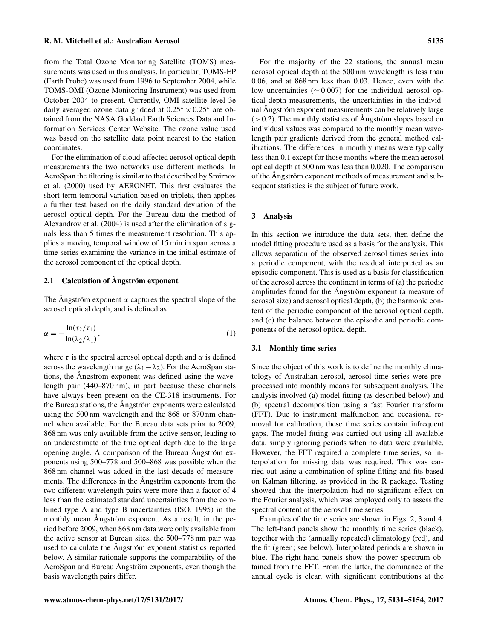from the Total Ozone Monitoring Satellite (TOMS) measurements was used in this analysis. In particular, TOMS-EP (Earth Probe) was used from 1996 to September 2004, while TOMS-OMI (Ozone Monitoring Instrument) was used from October 2004 to present. Currently, OMI satellite level 3e daily averaged ozone data gridded at  $0.25^{\circ} \times 0.25^{\circ}$  are obtained from the NASA Goddard Earth Sciences Data and Information Services Center Website. The ozone value used was based on the satellite data point nearest to the station coordinates.

For the elimination of cloud-affected aerosol optical depth measurements the two networks use different methods. In AeroSpan the filtering is similar to that described by [Smirnov](#page-23-13) [et al.](#page-23-13) [\(2000\)](#page-23-13) used by AERONET. This first evaluates the short-term temporal variation based on triplets, then applies a further test based on the daily standard deviation of the aerosol optical depth. For the Bureau data the method of [Alexandrov et al.](#page-22-21) [\(2004\)](#page-22-21) is used after the elimination of signals less than 5 times the measurement resolution. This applies a moving temporal window of 15 min in span across a time series examining the variance in the initial estimate of the aerosol component of the optical depth.

# 2.1 Calculation of Ångström exponent

The Ångström exponent  $\alpha$  captures the spectral slope of the aerosol optical depth, and is defined as

$$
\alpha = -\frac{\ln(\tau_2/\tau_1)}{\ln(\lambda_2/\lambda_1)},\tag{1}
$$

where  $\tau$  is the spectral aerosol optical depth and  $\alpha$  is defined across the wavelength range ( $\lambda_1 - \lambda_2$ ). For the AeroSpan stations, the Ångström exponent was defined using the wavelength pair (440–870 nm), in part because these channels have always been present on the CE-318 instruments. For the Bureau stations, the Ångström exponents were calculated using the 500 nm wavelength and the 868 or 870 nm channel when available. For the Bureau data sets prior to 2009, 868 nm was only available from the active sensor, leading to an underestimate of the true optical depth due to the large opening angle. A comparison of the Bureau Ångström exponents using 500–778 and 500–868 was possible when the 868 nm channel was added in the last decade of measurements. The differences in the Ångström exponents from the two different wavelength pairs were more than a factor of 4 less than the estimated standard uncertainties from the combined type A and type B uncertainties [\(ISO,](#page-22-22) [1995\)](#page-22-22) in the monthly mean Ångström exponent. As a result, in the period before 2009, when 868 nm data were only available from the active sensor at Bureau sites, the 500–778 nm pair was used to calculate the Ångström exponent statistics reported below. A similar rationale supports the comparability of the AeroSpan and Bureau Ångström exponents, even though the basis wavelength pairs differ.

For the majority of the 22 stations, the annual mean aerosol optical depth at the 500 nm wavelength is less than 0.06, and at 868 nm less than 0.03. Hence, even with the low uncertainties (∼ 0.007) for the individual aerosol optical depth measurements, the uncertainties in the individual Ångström exponent measurements can be relatively large  $(> 0.2)$ . The monthly statistics of Angström slopes based on individual values was compared to the monthly mean wavelength pair gradients derived from the general method calibrations. The differences in monthly means were typically less than 0.1 except for those months where the mean aerosol optical depth at 500 nm was less than 0.020. The comparison of the Ångström exponent methods of measurement and subsequent statistics is the subject of future work.

#### 3 Analysis

In this section we introduce the data sets, then define the model fitting procedure used as a basis for the analysis. This allows separation of the observed aerosol times series into a periodic component, with the residual interpreted as an episodic component. This is used as a basis for classification of the aerosol across the continent in terms of (a) the periodic amplitudes found for the Ångström exponent (a measure of aerosol size) and aerosol optical depth, (b) the harmonic content of the periodic component of the aerosol optical depth, and (c) the balance between the episodic and periodic components of the aerosol optical depth.

## 3.1 Monthly time series

Since the object of this work is to define the monthly climatology of Australian aerosol, aerosol time series were preprocessed into monthly means for subsequent analysis. The analysis involved (a) model fitting (as described below) and (b) spectral decomposition using a fast Fourier transform (FFT). Due to instrument malfunction and occasional removal for calibration, these time series contain infrequent gaps. The model fitting was carried out using all available data, simply ignoring periods when no data were available. However, the FFT required a complete time series, so interpolation for missing data was required. This was carried out using a combination of spline fitting and fits based on Kalman filtering, as provided in the R package. Testing showed that the interpolation had no significant effect on the Fourier analysis, which was employed only to assess the spectral content of the aerosol time series.

Examples of the time series are shown in Figs. [2,](#page-5-0) [3](#page-5-1) and [4.](#page-6-0) The left-hand panels show the monthly time series (black), together with the (annually repeated) climatology (red), and the fit (green; see below). Interpolated periods are shown in blue. The right-hand panels show the power spectrum obtained from the FFT. From the latter, the dominance of the annual cycle is clear, with significant contributions at the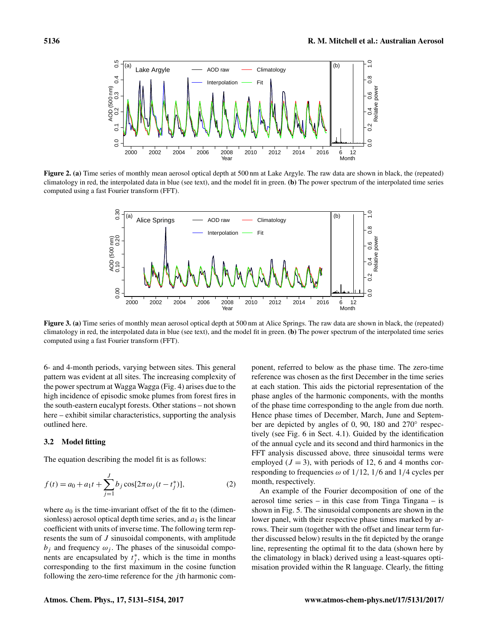<span id="page-5-0"></span>

<span id="page-5-1"></span>Figure 2. (a) Time series of monthly mean aerosol optical depth at 500 nm at Lake Argyle. The raw data are shown in black, the (repeated) climatology in red, the interpolated data in blue (see text), and the model fit in green. (b) The power spectrum of the interpolated time series computed using a fast Fourier transform (FFT).



Figure 3. (a) Time series of monthly mean aerosol optical depth at 500 nm at Alice Springs. The raw data are shown in black, the (repeated) climatology in red, the interpolated data in blue (see text), and the model fit in green. (b) The power spectrum of the interpolated time series computed using a fast Fourier transform (FFT).

6- and 4-month periods, varying between sites. This general pattern was evident at all sites. The increasing complexity of the power spectrum at Wagga Wagga (Fig. [4\)](#page-6-0) arises due to the high incidence of episodic smoke plumes from forest fires in the south-eastern eucalypt forests. Other stations – not shown here – exhibit similar characteristics, supporting the analysis outlined here.

## 3.2 Model fitting

The equation describing the model fit is as follows:

$$
f(t) = a_0 + a_1 t + \sum_{j=1}^{J} b_j \cos[2\pi \omega_j (t - t_j^*)],
$$
 (2)

where  $a_0$  is the time-invariant offset of the fit to the (dimensionless) aerosol optical depth time series, and  $a_1$  is the linear coefficient with units of inverse time. The following term represents the sum of J sinusoidal components, with amplitude  $b_i$  and frequency  $\omega_i$ . The phases of the sinusoidal components are encapsulated by  $t_j^*$ , which is the time in months corresponding to the first maximum in the cosine function following the zero-time reference for the  $j$ th harmonic component, referred to below as the phase time. The zero-time reference was chosen as the first December in the time series at each station. This aids the pictorial representation of the phase angles of the harmonic components, with the months of the phase time corresponding to the angle from due north. Hence phase times of December, March, June and September are depicted by angles of 0, 90, 180 and 270° respectively (see Fig. [6](#page-8-0) in Sect. [4.1\)](#page-6-1). Guided by the identification of the annual cycle and its second and third harmonics in the FFT analysis discussed above, three sinusoidal terms were employed  $(J = 3)$ , with periods of 12, 6 and 4 months corresponding to frequencies  $\omega$  of 1/12, 1/6 and 1/4 cycles per month, respectively.

<span id="page-5-2"></span>An example of the Fourier decomposition of one of the aerosol time series – in this case from Tinga Tingana – is shown in Fig. [5.](#page-6-2) The sinusoidal components are shown in the lower panel, with their respective phase times marked by arrows. Their sum (together with the offset and linear term further discussed below) results in the fit depicted by the orange line, representing the optimal fit to the data (shown here by the climatology in black) derived using a least-squares optimisation provided within the R language. Clearly, the fitting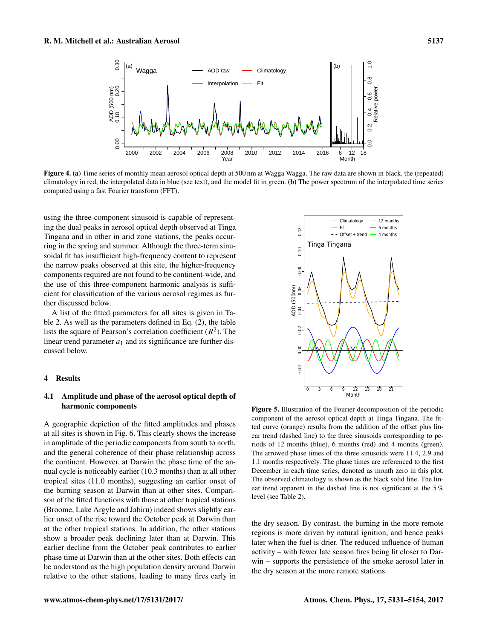<span id="page-6-0"></span>

Figure 4. (a) Time series of monthly mean aerosol optical depth at 500 nm at Wagga Wagga. The raw data are shown in black, the (repeated) climatology in red, the interpolated data in blue (see text), and the model fit in green. (b) The power spectrum of the interpolated time series computed using a fast Fourier transform (FFT).

using the three-component sinusoid is capable of representing the dual peaks in aerosol optical depth observed at Tinga Tingana and in other in arid zone stations, the peaks occurring in the spring and summer. Although the three-term sinusoidal fit has insufficient high-frequency content to represent the narrow peaks observed at this site, the higher-frequency components required are not found to be continent-wide, and the use of this three-component harmonic analysis is sufficient for classification of the various aerosol regimes as further discussed below.

A list of the fitted parameters for all sites is given in Table [2.](#page-7-0) As well as the parameters defined in Eq. [\(2\)](#page-5-2), the table lists the square of Pearson's correlation coefficient  $(R^2)$ . The linear trend parameter  $a_1$  and its significance are further discussed below.

## 4 Results

# <span id="page-6-1"></span>4.1 Amplitude and phase of the aerosol optical depth of harmonic components

A geographic depiction of the fitted amplitudes and phases at all sites is shown in Fig. [6.](#page-8-0) This clearly shows the increase in amplitude of the periodic components from south to north, and the general coherence of their phase relationship across the continent. However, at Darwin the phase time of the annual cycle is noticeably earlier (10.3 months) than at all other tropical sites (11.0 months), suggesting an earlier onset of the burning season at Darwin than at other sites. Comparison of the fitted functions with those at other tropical stations (Broome, Lake Argyle and Jabiru) indeed shows slightly earlier onset of the rise toward the October peak at Darwin than at the other tropical stations. In addition, the other stations show a broader peak declining later than at Darwin. This earlier decline from the October peak contributes to earlier phase time at Darwin than at the other sites. Both effects can be understood as the high population density around Darwin relative to the other stations, leading to many fires early in

<span id="page-6-2"></span>

Figure 5. Illustration of the Fourier decomposition of the periodic component of the aerosol optical depth at Tinga Tingana. The fitted curve (orange) results from the addition of the offset plus linear trend (dashed line) to the three sinusoids corresponding to periods of 12 months (blue), 6 months (red) and 4 months (green). The arrowed phase times of the three sinusoids were 11.4, 2.9 and 1.1 months respectively. The phase times are referenced to the first December in each time series, denoted as month zero in this plot. The observed climatology is shown as the black solid line. The linear trend apparent in the dashed line is not significant at the 5 % level (see Table [2\)](#page-7-0).

the dry season. By contrast, the burning in the more remote regions is more driven by natural ignition, and hence peaks later when the fuel is drier. The reduced influence of human activity – with fewer late season fires being lit closer to Darwin – supports the persistence of the smoke aerosol later in the dry season at the more remote stations.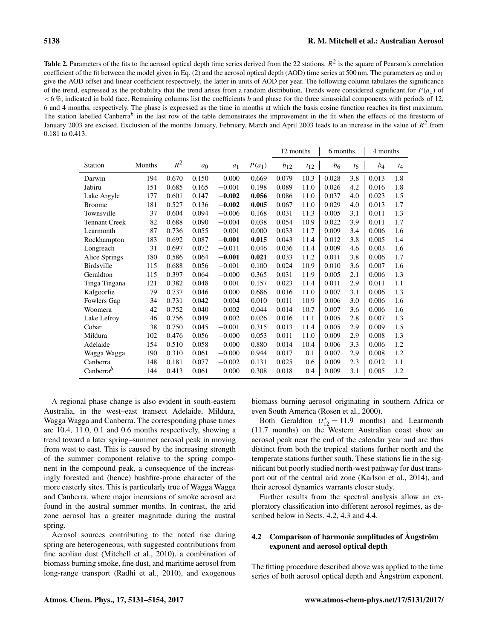<span id="page-7-0"></span>

|                       |        |       |                |          |          | 12 months |          | 6 months |         | 4 months |       |
|-----------------------|--------|-------|----------------|----------|----------|-----------|----------|----------|---------|----------|-------|
| Station               | Months | $R^2$ | a <sub>0</sub> | $a_1$    | $P(a_1)$ | $b_{12}$  | $t_{12}$ | $b_6$    | $t_{6}$ | $b_4$    | $t_4$ |
| Darwin                | 194    | 0.670 | 0.150          | 0.000    | 0.669    | 0.079     | 10.3     | 0.028    | 3.8     | 0.013    | 1.8   |
| Jabiru                | 151    | 0.685 | 0.165          | $-0.001$ | 0.198    | 0.089     | 11.0     | 0.026    | 4.2     | 0.016    | 1.8   |
| Lake Argyle           | 177    | 0.601 | 0.147          | $-0.002$ | 0.056    | 0.086     | 11.0     | 0.037    | 4.0     | 0.023    | 1.5   |
| <b>Broome</b>         | 181    | 0.527 | 0.136          | $-0.002$ | 0.005    | 0.067     | 11.0     | 0.029    | 4.0     | 0.013    | 1.7   |
| Townsville            | 37     | 0.604 | 0.094          | $-0.006$ | 0.168    | 0.031     | 11.3     | 0.005    | 3.1     | 0.011    | 1.3   |
| <b>Tennant Creek</b>  | 82     | 0.688 | 0.090          | $-0.004$ | 0.038    | 0.054     | 10.9     | 0.022    | 3.9     | 0.011    | 1.7   |
| Learmonth             | 87     | 0.736 | 0.055          | 0.001    | 0.000    | 0.033     | 11.7     | 0.009    | 3.4     | 0.006    | 1.6   |
| Rockhampton           | 183    | 0.692 | 0.087          | $-0.001$ | 0.015    | 0.043     | 11.4     | 0.012    | 3.8     | 0.005    | 1.4   |
| Longreach             | 31     | 0.697 | 0.072          | $-0.011$ | 0.046    | 0.036     | 11.4     | 0.009    | 4.6     | 0.003    | 1.6   |
| Alice Springs         | 180    | 0.586 | 0.064          | $-0.001$ | 0.021    | 0.033     | 11.2     | 0.011    | 3.8     | 0.006    | 1.7   |
| <b>Birdsville</b>     | 115    | 0.688 | 0.056          | $-0.001$ | 0.100    | 0.024     | 10.9     | 0.010    | 3.6     | 0.007    | 1.6   |
| Geraldton             | 115    | 0.397 | 0.064          | $-0.000$ | 0.365    | 0.031     | 11.9     | 0.005    | 2.1     | 0.006    | 1.3   |
| Tinga Tingana         | 121    | 0.382 | 0.048          | 0.001    | 0.157    | 0.023     | 11.4     | 0.011    | 2.9     | 0.011    | 1.1   |
| Kalgoorlie            | 79     | 0.737 | 0.046          | 0.000    | 0.686    | 0.016     | 11.0     | 0.007    | 3.1     | 0.006    | 1.3   |
| Fowlers Gap           | 34     | 0.731 | 0.042          | 0.004    | 0.010    | 0.011     | 10.9     | 0.006    | 3.0     | 0.006    | 1.6   |
| Woomera               | 42     | 0.752 | 0.040          | 0.002    | 0.044    | 0.014     | 10.7     | 0.007    | 3.6     | 0.006    | 1.6   |
| Lake Lefroy           | 46     | 0.756 | 0.049          | 0.002    | 0.026    | 0.016     | 11.1     | 0.005    | 2.8     | 0.007    | 1.3   |
| Cobar                 | 38     | 0.750 | 0.045          | $-0.001$ | 0.315    | 0.013     | 11.4     | 0.005    | 2.9     | 0.009    | 1.5   |
| Mildura               | 102    | 0.476 | 0.056          | $-0.000$ | 0.053    | 0.011     | 11.0     | 0.009    | 2.9     | 0.008    | 1.3   |
| Adelaide              | 154    | 0.510 | 0.058          | 0.000    | 0.880    | 0.014     | 10.4     | 0.006    | 3.3     | 0.006    | 1.2   |
| Wagga Wagga           | 190    | 0.310 | 0.061          | $-0.000$ | 0.944    | 0.017     | 0.1      | 0.007    | 2.9     | 0.008    | 1.2   |
| Canberra              | 148    | 0.181 | 0.077          | $-0.002$ | 0.131    | 0.025     | 0.6      | 0.009    | 2.3     | 0.012    | 1.1   |
| Canberra <sup>b</sup> | 144    | 0.413 | 0.061          | 0.000    | 0.308    | 0.018     | 0.4      | 0.009    | 3.1     | 0.005    | 1.2   |

A regional phase change is also evident in south-eastern Australia, in the west–east transect Adelaide, Mildura, Wagga Wagga and Canberra. The corresponding phase times are 10.4, 11.0, 0.1 and 0.6 months respectively, showing a trend toward a later spring–summer aerosol peak in moving from west to east. This is caused by the increasing strength of the summer component relative to the spring component in the compound peak, a consequence of the increasingly forested and (hence) bushfire-prone character of the more easterly sites. This is particularly true of Wagga Wagga and Canberra, where major incursions of smoke aerosol are found in the austral summer months. In contrast, the arid zone aerosol has a greater magnitude during the austral spring.

Aerosol sources contributing to the noted rise during spring are heterogeneous, with suggested contributions from fine aeolian dust [\(Mitchell et al.,](#page-22-16) [2010\)](#page-22-16), a combination of biomass burning smoke, fine dust, and maritime aerosol from long-range transport [\(Radhi et al.,](#page-23-14) [2010\)](#page-23-14), and exogenous biomass burning aerosol originating in southern Africa or even South America [\(Rosen et al.,](#page-23-15) [2000\)](#page-23-15).

Both Geraldton  $(t_{12}^* = 11.9 \text{ months})$  and Learmonth (11.7 months) on the Western Australian coast show an aerosol peak near the end of the calendar year and are thus distinct from both the tropical stations further north and the temperate stations further south. These stations lie in the significant but poorly studied north-west pathway for dust transport out of the central arid zone [\(Karlson et al.,](#page-22-23) [2014\)](#page-22-23), and their aerosol dynamics warrants closer study.

Further results from the spectral analysis allow an exploratory classification into different aerosol regimes, as described below in Sects. [4.2,](#page-7-1) [4.3](#page-8-1) and [4.4.](#page-9-0)

# <span id="page-7-1"></span>4.2 Comparison of harmonic amplitudes of Ångström exponent and aerosol optical depth

The fitting procedure described above was applied to the time series of both aerosol optical depth and Ångström exponent.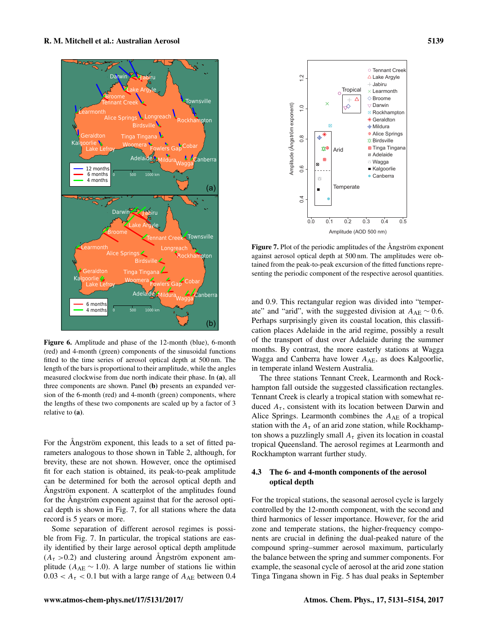<span id="page-8-0"></span>

Figure 6. Amplitude and phase of the 12-month (blue), 6-month (red) and 4-month (green) components of the sinusoidal functions fitted to the time series of aerosol optical depth at 500 nm. The length of the bars is proportional to their amplitude, while the angles measured clockwise from due north indicate their phase. In (a), all three components are shown. Panel (b) presents an expanded version of the 6-month (red) and 4-month (green) components, where the lengths of these two components are scaled up by a factor of 3 relative to (a).

For the Ångström exponent, this leads to a set of fitted parameters analogous to those shown in Table [2,](#page-7-0) although, for brevity, these are not shown. However, once the optimised fit for each station is obtained, its peak-to-peak amplitude can be determined for both the aerosol optical depth and Ångström exponent. A scatterplot of the amplitudes found for the Ångström exponent against that for the aerosol optical depth is shown in Fig. [7,](#page-8-2) for all stations where the data record is 5 years or more.

Some separation of different aerosol regimes is possible from Fig. [7.](#page-8-2) In particular, the tropical stations are easily identified by their large aerosol optical depth amplitude  $(A<sub>\tau</sub> > 0.2)$  and clustering around Ångström exponent amplitude ( $A_{AE} \sim 1.0$ ). A large number of stations lie within  $0.03 < A<sub>\tau</sub> < 0.1$  but with a large range of  $A<sub>AE</sub>$  between 0.4

<span id="page-8-2"></span>

Figure 7. Plot of the periodic amplitudes of the Ångström exponent against aerosol optical depth at 500 nm. The amplitudes were obtained from the peak-to-peak excursion of the fitted functions representing the periodic component of the respective aerosol quantities.

and 0.9. This rectangular region was divided into "temperate" and "arid", with the suggested division at  $A_{AE} \sim 0.6$ . Perhaps surprisingly given its coastal location, this classification places Adelaide in the arid regime, possibly a result of the transport of dust over Adelaide during the summer months. By contrast, the more easterly stations at Wagga Wagga and Canberra have lower  $A_{AE}$ , as does Kalgoorlie, in temperate inland Western Australia.

The three stations Tennant Creek, Learmonth and Rockhampton fall outside the suggested classification rectangles. Tennant Creek is clearly a tropical station with somewhat reduced  $A_{\tau}$ , consistent with its location between Darwin and Alice Springs. Learmonth combines the  $A_{AE}$  of a tropical station with the  $A_{\tau}$  of an arid zone station, while Rockhampton shows a puzzlingly small  $A_{\tau}$  given its location in coastal tropical Queensland. The aerosol regimes at Learmonth and Rockhampton warrant further study.

# <span id="page-8-1"></span>4.3 The 6- and 4-month components of the aerosol optical depth

For the tropical stations, the seasonal aerosol cycle is largely controlled by the 12-month component, with the second and third harmonics of lesser importance. However, for the arid zone and temperate stations, the higher-frequency components are crucial in defining the dual-peaked nature of the compound spring–summer aerosol maximum, particularly the balance between the spring and summer components. For example, the seasonal cycle of aerosol at the arid zone station Tinga Tingana shown in Fig. [5](#page-6-2) has dual peaks in September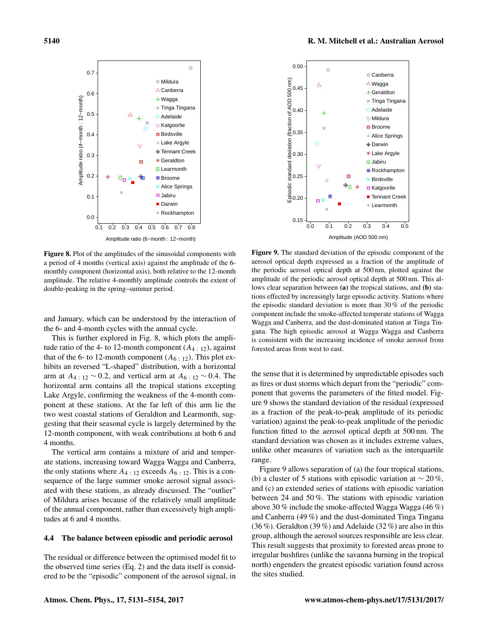<span id="page-9-1"></span>

Figure 8. Plot of the amplitudes of the sinusoidal components with a period of 4 months (vertical axis) against the amplitude of the 6 monthly component (horizontal axis), both relative to the 12-month amplitude. The relative 4-monthly amplitude controls the extent of double-peaking in the spring–summer period.

and January, which can be understood by the interaction of the 6- and 4-month cycles with the annual cycle.

This is further explored in Fig. [8,](#page-9-1) which plots the amplitude ratio of the 4- to 12-month component  $(A_{4+12})$ , against that of the 6- to 12-month component  $(A_6:12)$ . This plot exhibits an reversed "L-shaped" distribution, with a horizontal arm at  $A_{4 \pm 12} \sim 0.2$ , and vertical arm at  $A_{6 \pm 12} \sim 0.4$ . The horizontal arm contains all the tropical stations excepting Lake Argyle, confirming the weakness of the 4-month component at these stations. At the far left of this arm lie the two west coastal stations of Geraldton and Learmonth, suggesting that their seasonal cycle is largely determined by the 12-month component, with weak contributions at both 6 and 4 months.

The vertical arm contains a mixture of arid and temperate stations, increasing toward Wagga Wagga and Canberra, the only stations where  $A_4$ : 12 exceeds  $A_6$ : 12. This is a consequence of the large summer smoke aerosol signal associated with these stations, as already discussed. The "outlier" of Mildura arises because of the relatively small amplitude of the annual component, rather than excessively high amplitudes at 6 and 4 months.

## <span id="page-9-0"></span>4.4 The balance between episodic and periodic aerosol

The residual or difference between the optimised model fit to the observed time series (Eq. [2\)](#page-5-2) and the data itself is considered to be the "episodic" component of the aerosol signal, in

<span id="page-9-2"></span>

Figure 9. The standard deviation of the episodic component of the aerosol optical depth expressed as a fraction of the amplitude of the periodic aerosol optical depth at 500 nm, plotted against the amplitude of the periodic aerosol optical depth at 500 nm. This allows clear separation between (a) the tropical stations, and (b) stations effected by increasingly large episodic activity. Stations where the episodic standard deviation is more than 30 % of the periodic component include the smoke-affected temperate stations of Wagga Wagga and Canberra, and the dust-dominated station at Tinga Tingana. The high episodic aerosol at Wagga Wagga and Canberra is consistent with the increasing incidence of smoke aerosol from forested areas from west to east.

the sense that it is determined by unpredictable episodes such as fires or dust storms which depart from the "periodic" component that governs the parameters of the fitted model. Figure [9](#page-9-2) shows the standard deviation of the residual (expressed as a fraction of the peak-to-peak amplitude of its periodic variation) against the peak-to-peak amplitude of the periodic function fitted to the aerosol optical depth at 500 nm. The standard deviation was chosen as it includes extreme values, unlike other measures of variation such as the interquartile range.

Figure [9](#page-9-2) allows separation of (a) the four tropical stations, (b) a cluster of 5 stations with episodic variation at  $\sim$  20%, and (c) an extended series of stations with episodic variation between 24 and 50 %. The stations with episodic variation above 30 % include the smoke-affected Wagga Wagga (46 %) and Canberra (49 %) and the dust-dominated Tinga Tingana (36 %). Geraldton (39 %) and Adelaide (32 %) are also in this group, although the aerosol sources responsible are less clear. This result suggests that proximity to forested areas prone to irregular bushfires (unlike the savanna burning in the tropical north) engenders the greatest episodic variation found across the sites studied.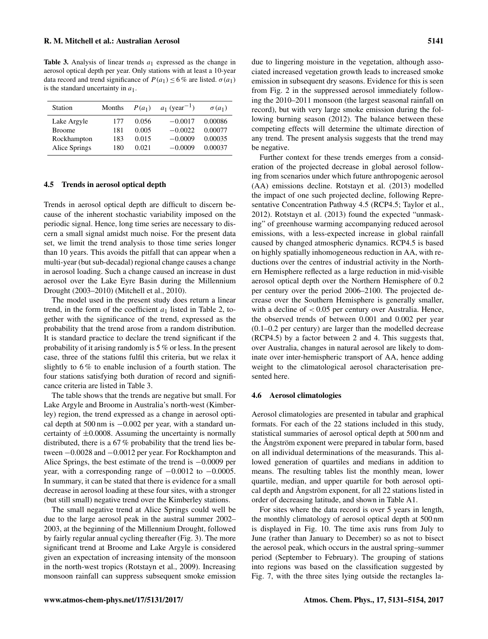<span id="page-10-0"></span>**Table 3.** Analysis of linear trends  $a_1$  expressed as the change in aerosol optical depth per year. Only stations with at least a 10-year data record and trend significance of  $P(a_1) \le 6\%$  are listed.  $\sigma(a_1)$ is the standard uncertainty in  $a_1$ .

| Station       | Months | $P(a_1)$ | $a_1$ (year <sup>-1</sup> ) | $\sigma(a_1)$ |
|---------------|--------|----------|-----------------------------|---------------|
| Lake Argyle   | 177    | 0.056    | $-0.0017$                   | 0.00086       |
| <b>Broome</b> | 181    | 0.005    | $-0.0022$                   | 0.00077       |
| Rockhampton   | 183    | 0.015    | $-0.0009$                   | 0.00035       |
| Alice Springs | 180    | 0.021    | $-0.0009$                   | 0.00037       |

#### 4.5 Trends in aerosol optical depth

Trends in aerosol optical depth are difficult to discern because of the inherent stochastic variability imposed on the periodic signal. Hence, long time series are necessary to discern a small signal amidst much noise. For the present data set, we limit the trend analysis to those time series longer than 10 years. This avoids the pitfall that can appear when a multi-year (but sub-decadal) regional change causes a change in aerosol loading. Such a change caused an increase in dust aerosol over the Lake Eyre Basin during the Millennium Drought (2003–2010) [\(Mitchell et al.,](#page-22-16) [2010\)](#page-22-16).

The model used in the present study does return a linear trend, in the form of the coefficient  $a_1$  listed in Table [2,](#page-7-0) together with the significance of the trend, expressed as the probability that the trend arose from a random distribution. It is standard practice to declare the trend significant if the probability of it arising randomly is 5 % or less. In the present case, three of the stations fulfil this criteria, but we relax it slightly to 6 % to enable inclusion of a fourth station. The four stations satisfying both duration of record and significance criteria are listed in Table [3.](#page-10-0)

The table shows that the trends are negative but small. For Lake Argyle and Broome in Australia's north-west (Kimberley) region, the trend expressed as a change in aerosol optical depth at 500 nm is −0.002 per year, with a standard uncertainty of  $\pm 0.0008$ . Assuming the uncertainty is normally distributed, there is a 67 % probability that the trend lies between −0.0028 and −0.0012 per year. For Rockhampton and Alice Springs, the best estimate of the trend is −0.0009 per year, with a corresponding range of  $-0.0012$  to  $-0.0005$ . In summary, it can be stated that there is evidence for a small decrease in aerosol loading at these four sites, with a stronger (but still small) negative trend over the Kimberley stations.

The small negative trend at Alice Springs could well be due to the large aerosol peak in the austral summer 2002– 2003, at the beginning of the Millennium Drought, followed by fairly regular annual cycling thereafter (Fig. [3\)](#page-5-1). The more significant trend at Broome and Lake Argyle is considered given an expectation of increasing intensity of the monsoon in the north-west tropics [\(Rotstayn et al.,](#page-23-16) [2009\)](#page-23-16). Increasing monsoon rainfall can suppress subsequent smoke emission

due to lingering moisture in the vegetation, although associated increased vegetation growth leads to increased smoke emission in subsequent dry seasons. Evidence for this is seen from Fig. [2](#page-5-0) in the suppressed aerosol immediately following the 2010–2011 monsoon (the largest seasonal rainfall on record), but with very large smoke emission during the following burning season (2012). The balance between these competing effects will determine the ultimate direction of any trend. The present analysis suggests that the trend may be negative.

Further context for these trends emerges from a consideration of the projected decrease in global aerosol following from scenarios under which future anthropogenic aerosol (AA) emissions decline. [Rotstayn et al.](#page-23-5) [\(2013\)](#page-23-5) modelled the impact of one such projected decline, following Representative Concentration Pathway 4.5 (RCP4.5; [Taylor et al.,](#page-23-17) [2012\)](#page-23-17). [Rotstayn et al.](#page-23-5) [\(2013\)](#page-23-5) found the expected "unmasking" of greenhouse warming accompanying reduced aerosol emissions, with a less-expected increase in global rainfall caused by changed atmospheric dynamics. RCP4.5 is based on highly spatially inhomogeneous reduction in AA, with reductions over the centres of industrial activity in the Northern Hemisphere reflected as a large reduction in mid-visible aerosol optical depth over the Northern Hemisphere of 0.2 per century over the period 2006–2100. The projected decrease over the Southern Hemisphere is generally smaller, with a decline of  $< 0.05$  per century over Australia. Hence, the observed trends of between 0.001 and 0.002 per year (0.1–0.2 per century) are larger than the modelled decrease (RCP4.5) by a factor between 2 and 4. This suggests that, over Australia, changes in natural aerosol are likely to dominate over inter-hemispheric transport of AA, hence adding weight to the climatological aerosol characterisation presented here.

#### 4.6 Aerosol climatologies

Aerosol climatologies are presented in tabular and graphical formats. For each of the 22 stations included in this study, statistical summaries of aerosol optical depth at 500 nm and the Ångström exponent were prepared in tabular form, based on all individual determinations of the measurands. This allowed generation of quartiles and medians in addition to means. The resulting tables list the monthly mean, lower quartile, median, and upper quartile for both aerosol optical depth and Ångström exponent, for all 22 stations listed in order of decreasing latitude, and shown in Table [A1.](#page-14-0)

For sites where the data record is over 5 years in length, the monthly climatology of aerosol optical depth at 500 nm is displayed in Fig. [10.](#page-11-0) The time axis runs from July to June (rather than January to December) so as not to bisect the aerosol peak, which occurs in the austral spring–summer period (September to February). The grouping of stations into regions was based on the classification suggested by Fig. [7,](#page-8-2) with the three sites lying outside the rectangles la-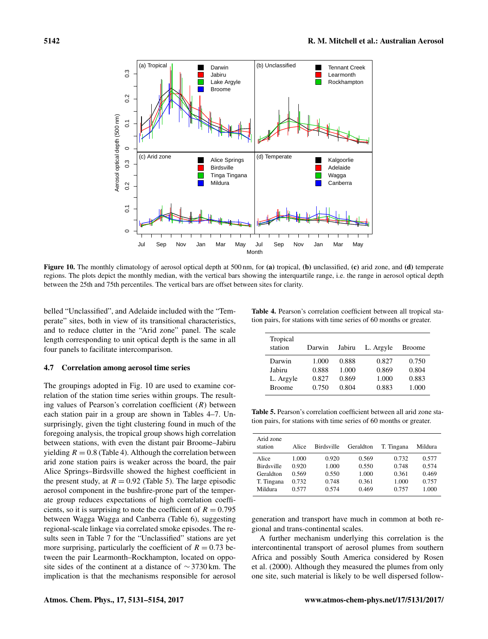<span id="page-11-0"></span>

Figure 10. The monthly climatology of aerosol optical depth at 500 nm, for (a) tropical, (b) unclassified, (c) arid zone, and (d) temperate regions. The plots depict the monthly median, with the vertical bars showing the interquartile range, i.e. the range in aerosol optical depth between the 25th and 75th percentiles. The vertical bars are offset between sites for clarity.

belled "Unclassified", and Adelaide included with the "Temperate" sites, both in view of its transitional characteristics, and to reduce clutter in the "Arid zone" panel. The scale length corresponding to unit optical depth is the same in all four panels to facilitate intercomparison.

## 4.7 Correlation among aerosol time series

The groupings adopted in Fig. [10](#page-11-0) are used to examine correlation of the station time series within groups. The resulting values of Pearson's correlation coefficient  $(R)$  between each station pair in a group are shown in Tables [4–](#page-11-1)[7.](#page-12-0) Unsurprisingly, given the tight clustering found in much of the foregoing analysis, the tropical group shows high correlation between stations, with even the distant pair Broome–Jabiru yielding  $R = 0.8$  (Table [4\)](#page-11-1). Although the correlation between arid zone station pairs is weaker across the board, the pair Alice Springs–Birdsville showed the highest coefficient in the present study, at  $R = 0.92$  (Table [5\)](#page-11-2). The large episodic aerosol component in the bushfire-prone part of the temperate group reduces expectations of high correlation coefficients, so it is surprising to note the coefficient of  $R = 0.795$ between Wagga Wagga and Canberra (Table [6\)](#page-12-1), suggesting regional-scale linkage via correlated smoke episodes. The results seen in Table [7](#page-12-0) for the "Unclassified" stations are yet more surprising, particularly the coefficient of  $R = 0.73$  between the pair Learmonth–Rockhampton, located on opposite sides of the continent at a distance of ∼ 3730 km. The implication is that the mechanisms responsible for aerosol

<span id="page-11-1"></span>Table 4. Pearson's correlation coefficient between all tropical station pairs, for stations with time series of 60 months or greater.

| Tropical<br>station | Darwin | Jabiru | L. Argyle | <b>Broome</b> |
|---------------------|--------|--------|-----------|---------------|
| Darwin              | 1.000  | 0.888  | 0.827     | 0.750         |
| Jabiru              | 0.888  | 1.000  | 0.869     | 0.804         |
| L. Argyle           | 0.827  | 0.869  | 1.000     | 0.883         |
| <b>Broome</b>       | 0.750  | 0.804  | 0.883     | 1.000         |

<span id="page-11-2"></span>Table 5. Pearson's correlation coefficient between all arid zone station pairs, for stations with time series of 60 months or greater.

| Arid zone<br>station | Alice | <b>Birdsville</b> | Geraldton | T. Tingana | Mildura |
|----------------------|-------|-------------------|-----------|------------|---------|
| Alice                | 1.000 | 0.920             | 0.569     | 0.732      | 0.577   |
| <b>Birdsville</b>    | 0.920 | 1.000             | 0.550     | 0.748      | 0.574   |
| Geraldton            | 0.569 | 0.550             | 1.000     | 0.361      | 0.469   |
| T. Tingana           | 0.732 | 0.748             | 0.361     | 1.000      | 0.757   |
| Mildura              | 0.577 | 0.574             | 0.469     | 0.757      | 1.000   |

generation and transport have much in common at both regional and trans-continental scales.

A further mechanism underlying this correlation is the intercontinental transport of aerosol plumes from southern Africa and possibly South America considered by [Rosen](#page-23-15) [et al.](#page-23-15) [\(2000\)](#page-23-15). Although they measured the plumes from only one site, such material is likely to be well dispersed follow-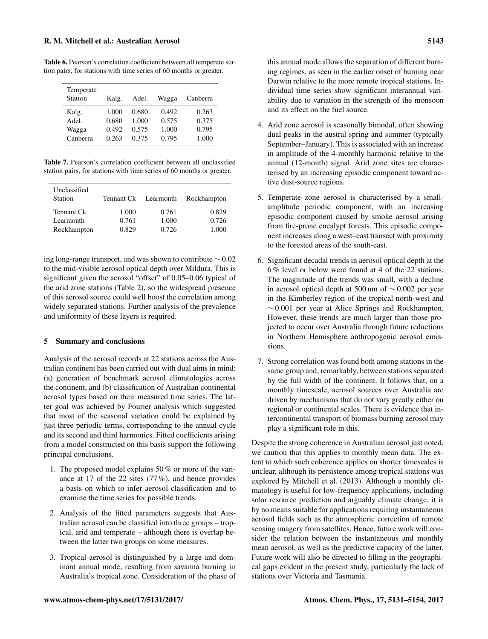<span id="page-12-1"></span>Table 6. Pearson's correlation coefficient between all temperate station pairs, for stations with time series of 60 months or greater.

| Temperate<br>Station | Kalg. | Adel. | Wagga | Canberra |
|----------------------|-------|-------|-------|----------|
| Kalg.                | 1.000 | 0.680 | 0.492 | 0.263    |
| Adel.                | 0.680 | 1.000 | 0.575 | 0.375    |
| Wagga                | 0.492 | 0.575 | 1.000 | 0.795    |
| Canberra             | 0.263 | 0.375 | 0.795 | 1.000    |

<span id="page-12-0"></span>Table 7. Pearson's correlation coefficient between all unclassified station pairs, for stations with time series of 60 months or greater.

| Unclassified<br><b>Station</b> | Tennant Ck Learmonth |       | Rockhampton |
|--------------------------------|----------------------|-------|-------------|
| Tennant Ck                     | 1.000                | 0.761 | 0.829       |
| Learmonth                      | 0.761                | 1.000 | 0.726       |
| Rockhampton                    | 0.829                | 0.726 | 1.000       |

ing long-range transport, and was shown to contribute ∼ 0.02 to the mid-visible aerosol optical depth over Mildura. This is significant given the aerosol "offset" of 0.05–0.06 typical of the arid zone stations (Table [2\)](#page-7-0), so the widespread presence of this aerosol source could well boost the correlation among widely separated stations. Further analysis of the prevalence and uniformity of these layers is required.

## 5 Summary and conclusions

Analysis of the aerosol records at 22 stations across the Australian continent has been carried out with dual aims in mind: (a) generation of benchmark aerosol climatologies across the continent, and (b) classification of Australian continental aerosol types based on their measured time series. The latter goal was achieved by Fourier analysis which suggested that most of the seasonal variation could be explained by just three periodic terms, corresponding to the annual cycle and its second and third harmonics. Fitted coefficients arising from a model constructed on this basis support the following principal conclusions.

- 1. The proposed model explains 50 % or more of the variance at 17 of the 22 sites (77 %), and hence provides a basis on which to infer aerosol classification and to examine the time series for possible trends.
- 2. Analysis of the fitted parameters suggests that Australian aerosol can be classified into three groups – tropical, arid and temperate – although there is overlap between the latter two groups on some measures.
- 3. Tropical aerosol is distinguished by a large and dominant annual mode, resulting from savanna burning in Australia's tropical zone. Consideration of the phase of
- 4. Arid zone aerosol is seasonally bimodal, often showing dual peaks in the austral spring and summer (typically September–January). This is associated with an increase in amplitude of the 4-monthly harmonic relative to the annual (12-month) signal. Arid zone sites are characterised by an increasing episodic component toward active dust-source regions.
- 5. Temperate zone aerosol is characterised by a smallamplitude periodic component, with an increasing episodic component caused by smoke aerosol arising from fire-prone eucalypt forests. This episodic component increases along a west–east transect with proximity to the forested areas of the south-east.
- 6. Significant decadal trends in aerosol optical depth at the 6 % level or below were found at 4 of the 22 stations. The magnitude of the trends was small, with a decline in aerosol optical depth at 500 nm of ∼ 0.002 per year in the Kimberley region of the tropical north-west and  $~\sim$  0.001 per year at Alice Springs and Rockhampton. However, these trends are much larger than those projected to occur over Australia through future reductions in Northern Hemisphere anthropogenic aerosol emissions.
- 7. Strong correlation was found both among stations in the same group and, remarkably, between stations separated by the full width of the continent. It follows that, on a monthly timescale, aerosol sources over Australia are driven by mechanisms that do not vary greatly either on regional or continental scales. There is evidence that intercontinental transport of biomass burning aerosol may play a significant role in this.

Despite the strong coherence in Australian aerosol just noted, we caution that this applies to monthly mean data. The extent to which such coherence applies on shorter timescales is unclear, although its persistence among tropical stations was explored by [Mitchell et al.](#page-22-9) [\(2013\)](#page-22-9). Although a monthly climatology is useful for low-frequency applications, including solar resource prediction and arguably climate change, it is by no means suitable for applications requiring instantaneous aerosol fields such as the atmospheric correction of remote sensing imagery from satellites. Hence, future work will consider the relation between the instantaneous and monthly mean aerosol, as well as the predictive capacity of the latter. Future work will also be directed to filling in the geographical gaps evident in the present study, particularly the lack of stations over Victoria and Tasmania.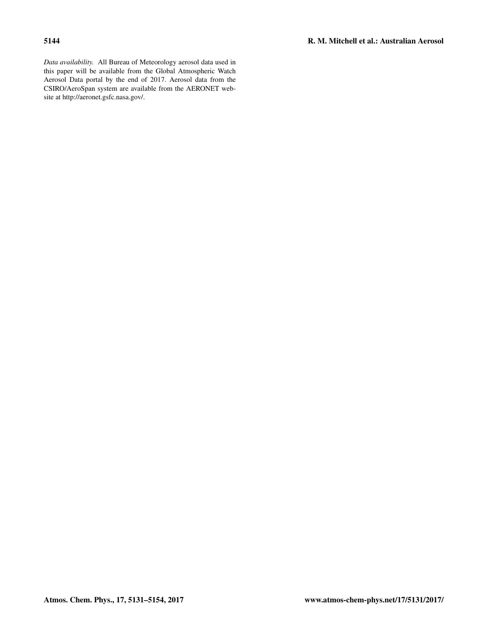*Data availability.* All Bureau of Meteorology aerosol data used in this paper will be available from the Global Atmospheric Watch Aerosol Data portal by the end of 2017. Aerosol data from the CSIRO/AeroSpan system are available from the AERONET website at [http://aeronet.gsfc.nasa.gov/.](http://aeronet.gsfc.nasa.gov/)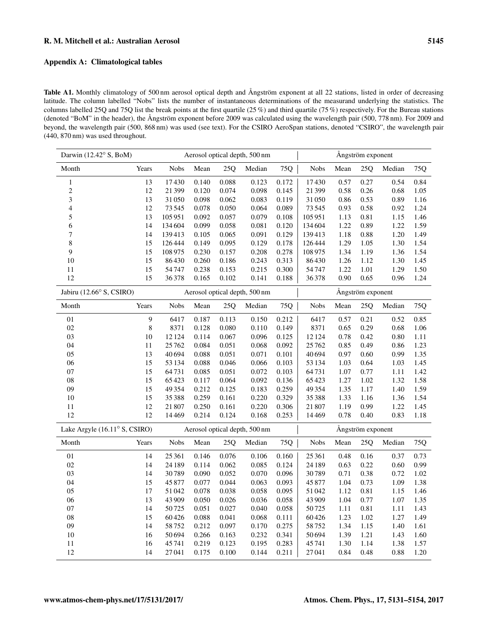# Appendix A: Climatological tables

<span id="page-14-0"></span>Table A1. Monthly climatology of 500 nm aerosol optical depth and Ångström exponent at all 22 stations, listed in order of decreasing latitude. The column labelled "Nobs" lists the number of instantaneous determinations of the measurand underlying the statistics. The columns labelled 25Q and 75Q list the break points at the first quartile (25 %) and third quartile (75 %) respectively. For the Bureau stations (denoted "BoM" in the header), the Ångström exponent before 2009 was calculated using the wavelength pair (500, 778 nm). For 2009 and beyond, the wavelength pair (500, 868 nm) was used (see text). For the CSIRO AeroSpan stations, denoted "CSIRO", the wavelength pair (440, 870 nm) was used throughout.

| Darwin (12.42° S, BoM)                 |         |             |       |       | Aerosol optical depth, 500 nm |       | Ångström exponent |      |                   |        |      |
|----------------------------------------|---------|-------------|-------|-------|-------------------------------|-------|-------------------|------|-------------------|--------|------|
| Month                                  | Years   | <b>Nobs</b> | Mean  | 25Q   | Median                        | 75Q   | <b>Nobs</b>       | Mean | 25Q               | Median | 75Q  |
| $\,1\,$                                | 13      | 17430       | 0.140 | 0.088 | 0.123                         | 0.172 | 17430             | 0.57 | 0.27              | 0.54   | 0.84 |
| $\overline{c}$                         | 12      | 21399       | 0.120 | 0.074 | 0.098                         | 0.145 | 21399             | 0.58 | 0.26              | 0.68   | 1.05 |
| 3                                      | 13      | 31050       | 0.098 | 0.062 | 0.083                         | 0.119 | 31050             | 0.86 | 0.53              | 0.89   | 1.16 |
| $\overline{4}$                         | 12      | 73545       | 0.078 | 0.050 | 0.064                         | 0.089 | 73545             | 0.93 | 0.58              | 0.92   | 1.24 |
| 5                                      | 13      | 105951      | 0.092 | 0.057 | 0.079                         | 0.108 | 105951            | 1.13 | 0.81              | 1.15   | 1.46 |
| 6                                      | 14      | 134 604     | 0.099 | 0.058 | 0.081                         | 0.120 | 134 604           | 1.22 | 0.89              | 1.22   | 1.59 |
| 7                                      | 14      | 139413      | 0.105 | 0.065 | 0.091                         | 0.129 | 139413            | 1.18 | 0.88              | 1.20   | 1.49 |
| 8                                      | 15      | 126444      | 0.149 | 0.095 | 0.129                         | 0.178 | 126444            | 1.29 | 1.05              | 1.30   | 1.54 |
| 9                                      | 15      | 108 975     | 0.230 | 0.157 | 0.208                         | 0.278 | 108975            | 1.34 | 1.19              | 1.36   | 1.54 |
| 10                                     | 15      | 86430       | 0.260 | 0.186 | 0.243                         | 0.313 | 86430             | 1.26 | 1.12              | 1.30   | 1.45 |
| 11                                     | 15      | 54747       | 0.238 | 0.153 | 0.215                         | 0.300 | 54747             | 1.22 | 1.01              | 1.29   | 1.50 |
| 12                                     | 15      | 36378       | 0.165 | 0.102 | 0.141                         | 0.188 | 36378             | 0.90 | 0.65              | 0.96   | 1.24 |
| Jabiru $(12.66^{\circ} S, CSIRO)$      |         |             |       |       | Aerosol optical depth, 500 nm |       |                   |      | Ångström exponent |        |      |
| Month                                  | Years   | <b>Nobs</b> | Mean  | 25Q   | Median                        | 75Q   | <b>Nobs</b>       | Mean | 25Q               | Median | 75Q  |
| 01                                     | 9       | 6417        | 0.187 | 0.113 | 0.150                         | 0.212 | 6417              | 0.57 | 0.21              | 0.52   | 0.85 |
| 02                                     | $\,8\,$ | 8371        | 0.128 | 0.080 | 0.110                         | 0.149 | 8371              | 0.65 | 0.29              | 0.68   | 1.06 |
| $03\,$                                 | 10      | 12124       | 0.114 | 0.067 | 0.096                         | 0.125 | 12124             | 0.78 | 0.42              | 0.80   | 1.11 |
| 04                                     | 11      | 25762       | 0.084 | 0.051 | 0.068                         | 0.092 | 25762             | 0.85 | 0.49              | 0.86   | 1.23 |
| 05                                     | 13      | 40694       | 0.088 | 0.051 | 0.071                         | 0.101 | 40694             | 0.97 | 0.60              | 0.99   | 1.35 |
| 06                                     | 15      | 53 134      | 0.088 | 0.046 | 0.066                         | 0.103 | 53 134            | 1.03 | 0.64              | 1.03   | 1.45 |
| 07                                     | 15      | 64731       | 0.085 | 0.051 | 0.072                         | 0.103 | 64731             | 1.07 | 0.77              | 1.11   | 1.42 |
| ${\bf 08}$                             | 15      | 65423       | 0.117 | 0.064 | 0.092                         | 0.136 | 65423             | 1.27 | 1.02              | 1.32   | 1.58 |
| 09                                     | 15      | 49354       | 0.212 | 0.125 | 0.183                         | 0.259 | 49354             | 1.35 | 1.17              | 1.40   | 1.59 |
| 10                                     | 15      | 35388       | 0.259 | 0.161 | 0.220                         | 0.329 | 35388             | 1.33 | 1.16              | 1.36   | 1.54 |
| 11                                     | 12      | 21807       | 0.250 | 0.161 | 0.220                         | 0.306 | 21807             | 1.19 | 0.99              | 1.22   | 1.45 |
| 12                                     | 12      | 14469       | 0.214 | 0.124 | 0.168                         | 0.253 | 14469             | 0.78 | 0.40              | 0.83   | 1.18 |
| Lake Argyle $(16.11^{\circ} S, CSIRO)$ |         |             |       |       | Aerosol optical depth, 500 nm |       |                   |      | Ångström exponent |        |      |
| Month                                  | Years   | <b>Nobs</b> | Mean  | 25Q   | Median                        | $75Q$ | <b>Nobs</b>       | Mean | 25Q               | Median | 75Q  |
| 01                                     | 14      | 25 361      | 0.146 | 0.076 | 0.106                         | 0.160 | 25 361            | 0.48 | 0.16              | 0.37   | 0.73 |
| 02                                     | 14      | 24 189      | 0.114 | 0.062 | 0.085                         | 0.124 | 24 189            | 0.63 | 0.22              | 0.60   | 0.99 |
| $03\,$                                 | 14      | 30789       | 0.090 | 0.052 | 0.070                         | 0.096 | 30789             | 0.71 | 0.38              | 0.72   | 1.02 |
| 04                                     | 15      | 45877       | 0.077 | 0.044 | 0.063                         | 0.093 | 45877             | 1.04 | 0.73              | 1.09   | 1.38 |
| 05                                     | 17      | 51042       | 0.078 | 0.038 | 0.058                         | 0.095 | 51042             | 1.12 | 0.81              | 1.15   | 1.46 |
| 06                                     | 13      | 43 909      | 0.050 | 0.026 | 0.036                         | 0.058 | 43 909            | 1.04 | 0.77              | 1.07   | 1.35 |
| $07\,$                                 | 14      | 50725       | 0.051 | 0.027 | 0.040                         | 0.058 | 50725             | 1.11 | $0.81\,$          | 1.11   | 1.43 |
| ${\bf 08}$                             | 15      | 60426       | 0.088 | 0.041 | 0.068                         | 0.111 | 60426             | 1.23 | 1.02              | 1.27   | 1.49 |
| 09                                     | 14      | 58752       | 0.212 | 0.097 | 0.170                         | 0.275 | 58752             | 1.34 | 1.15              | 1.40   | 1.61 |
| 10                                     | 16      | 50694       | 0.266 | 0.163 | 0.232                         | 0.341 | 50694             | 1.39 | 1.21              | 1.43   | 1.60 |
| 11                                     | 16      | 45741       | 0.219 | 0.123 | 0.195                         | 0.283 | 45741             | 1.30 | 1.14              | 1.38   | 1.57 |
| 12                                     | 14      | 27041       | 0.175 | 0.100 | 0.144                         | 0.211 | 27041             | 0.84 | 0.48              | 0.88   | 1.20 |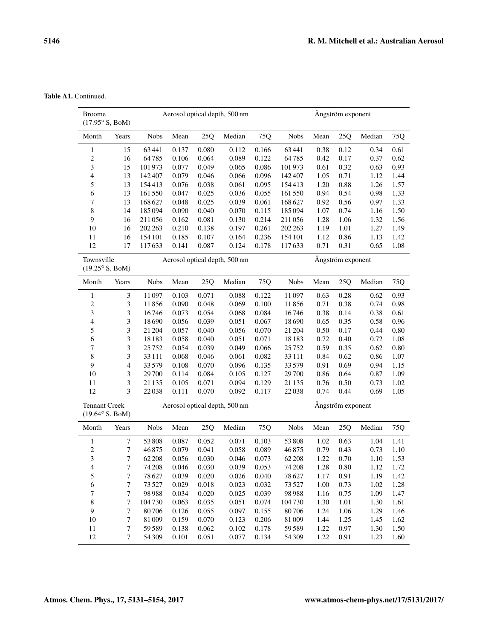Table A1. Continued.

| <b>Broome</b><br>$(17.95^{\circ} S, B \circ M)$        |                  |             |       |       | Aerosol optical depth, 500 nm |       |             |      | Ångström exponent |        |      |
|--------------------------------------------------------|------------------|-------------|-------|-------|-------------------------------|-------|-------------|------|-------------------|--------|------|
| Month                                                  | Years            | <b>Nobs</b> | Mean  | 25Q   | Median                        | 75Q   | <b>Nobs</b> | Mean | 25Q               | Median | 75Q  |
| $\mathbf{1}$                                           | 15               | 63441       | 0.137 | 0.080 | 0.112                         | 0.166 | 63441       | 0.38 | 0.12              | 0.34   | 0.61 |
| $\sqrt{2}$                                             | 16               | 64785       | 0.106 | 0.064 | 0.089                         | 0.122 | 64785       | 0.42 | 0.17              | 0.37   | 0.62 |
| 3                                                      | 15               | 101973      | 0.077 | 0.049 | 0.065                         | 0.086 | 101973      | 0.61 | 0.32              | 0.63   | 0.93 |
| $\overline{4}$                                         | 13               | 142407      | 0.079 | 0.046 | 0.066                         | 0.096 | 142407      | 1.05 | 0.71              | 1.12   | 1.44 |
| 5                                                      | 13               | 154413      | 0.076 | 0.038 | 0.061                         | 0.095 | 154413      | 1.20 | 0.88              | 1.26   | 1.57 |
| 6                                                      | 13               | 161550      | 0.047 | 0.025 | 0.036                         | 0.055 | 161550      | 0.94 | 0.54              | 0.98   | 1.33 |
| 7                                                      | 13               | 168 627     | 0.048 | 0.025 | 0.039                         | 0.061 | 168627      | 0.92 | 0.56              | 0.97   | 1.33 |
| 8                                                      | 14               | 185094      | 0.090 | 0.040 | 0.070                         | 0.115 | 185094      | 1.07 | 0.74              | 1.16   | 1.50 |
| 9                                                      | 16               | 211056      | 0.162 | 0.081 | 0.130                         | 0.214 | 211056      | 1.28 | 1.06              | 1.32   | 1.56 |
| 10                                                     | 16               | 202 263     | 0.210 | 0.138 | 0.197                         | 0.261 | 202 263     | 1.19 | 1.01              | 1.27   | 1.49 |
| 11                                                     | 16               | 154 101     | 0.185 | 0.107 | 0.164                         | 0.236 | 154 101     | 1.12 | 0.86              | 1.13   | 1.42 |
| 12                                                     | 17               | 117633      | 0.141 | 0.087 | 0.124                         | 0.178 | 117633      | 0.71 | 0.31              | 0.65   | 1.08 |
| Townsville<br>$(19.25^{\circ} S, B \circ M)$           |                  |             |       |       | Aerosol optical depth, 500 nm |       |             |      | Ångström exponent |        |      |
| Month                                                  | Years            | <b>Nobs</b> | Mean  | 25Q   | Median                        | 75Q   | <b>Nobs</b> | Mean | 25Q               | Median | 75Q  |
| 1                                                      | $\mathfrak{Z}$   | 11097       | 0.103 | 0.071 | 0.088                         | 0.122 | 11097       | 0.63 | 0.28              | 0.62   | 0.93 |
| $\overline{c}$                                         | $\mathfrak{Z}$   | 11856       | 0.090 | 0.048 | 0.069                         | 0.100 | 11856       | 0.71 | 0.38              | 0.74   | 0.98 |
| 3                                                      | 3                | 16746       | 0.073 | 0.054 | 0.068                         | 0.084 | 16746       | 0.38 | 0.14              | 0.38   | 0.61 |
| $\overline{4}$                                         | 3                | 18690       | 0.056 | 0.039 | 0.051                         | 0.067 | 18690       | 0.65 | 0.35              | 0.58   | 0.96 |
| 5                                                      | 3                | 21 204      | 0.057 | 0.040 | 0.056                         | 0.070 | 21 204      | 0.50 | 0.17              | 0.44   | 0.80 |
| 6                                                      | 3                | 18183       | 0.058 | 0.040 | 0.051                         | 0.071 | 18183       | 0.72 | 0.40              | 0.72   | 1.08 |
| 7                                                      | 3                | 25752       | 0.054 | 0.039 | 0.049                         | 0.066 | 25752       | 0.59 | 0.35              | 0.62   | 0.80 |
| $\,$ 8 $\,$                                            | 3                | 33 1 11     | 0.068 | 0.046 | 0.061                         | 0.082 | 33111       | 0.84 | 0.62              | 0.86   | 1.07 |
| 9                                                      | $\overline{4}$   | 33579       | 0.108 | 0.070 | 0.096                         | 0.135 | 33579       | 0.91 | 0.69              | 0.94   | 1.15 |
| 10                                                     | 3                | 29700       | 0.114 | 0.084 | 0.105                         | 0.127 | 29700       | 0.86 | 0.64              | 0.87   | 1.09 |
| 11                                                     | 3                | 21 135      | 0.105 | 0.071 | 0.094                         | 0.129 | 21 1 35     | 0.76 | 0.50              | 0.73   | 1.02 |
| 12                                                     | 3                | 22038       | 0.111 | 0.070 | 0.092                         | 0.117 | 22038       | 0.74 | 0.44              | 0.69   | 1.05 |
| <b>Tennant Creek</b><br>$(19.64^{\circ} S, B \circ M)$ |                  |             |       |       | Aerosol optical depth, 500 nm |       |             |      | Ångström exponent |        |      |
| Month                                                  | Years            | <b>Nobs</b> | Mean  | 25Q   | Median                        | 75Q   | <b>Nobs</b> | Mean | 25Q               | Median | 75Q  |
| $\mathbf{1}$                                           | 7                | 53808       | 0.087 | 0.052 | 0.071                         | 0.103 | 53808       | 1.02 | 0.63              | 1.04   | 1.41 |
| $\overline{2}$                                         | $\boldsymbol{7}$ | 46875       | 0.079 | 0.041 | 0.058                         | 0.089 | 46875       | 0.79 | 0.43              | 0.73   | 1.10 |
| 3                                                      | $\overline{7}$   | 62 208      | 0.056 | 0.030 | 0.046                         | 0.073 | 62 208      | 1.22 | 0.70              | 1.10   | 1.53 |
| 4                                                      | 7                | 74 208      | 0.046 | 0.030 | 0.039                         | 0.053 | 74 208      | 1.28 | 0.80              | 1.12   | 1.72 |
| $\mathfrak s$                                          | 7                | 78627       | 0.039 | 0.020 | 0.026                         | 0.040 | 78627       | 1.17 | 0.91              | 1.19   | 1.42 |
| 6                                                      | $\boldsymbol{7}$ | 73527       | 0.029 | 0.018 | 0.023                         | 0.032 | 73527       | 1.00 | 0.73              | 1.02   | 1.28 |
| 7                                                      | $\boldsymbol{7}$ | 98988       | 0.034 | 0.020 | 0.025                         | 0.039 | 98988       | 1.16 | 0.75              | 1.09   | 1.47 |
| 8                                                      | 7                | 104730      | 0.063 | 0.035 | 0.051                         | 0.074 | 104730      | 1.30 | 1.01              | 1.30   | 1.61 |
| 9                                                      | $\tau$           | 80706       | 0.126 | 0.055 | 0.097                         | 0.155 | 80706       | 1.24 | 1.06              | 1.29   | 1.46 |
| 10                                                     | 7                | 81009       | 0.159 | 0.070 | 0.123                         | 0.206 | 81009       | 1.44 | 1.25              | 1.45   | 1.62 |
| 11                                                     | 7                | 59589       | 0.138 | 0.062 | 0.102                         | 0.178 | 59589       | 1.22 | 0.97              | 1.30   | 1.50 |
| 12                                                     | 7                | 54 30 9     | 0.101 | 0.051 | 0.077                         | 0.134 | 54309       | 1.22 | 0.91              | 1.23   | 1.60 |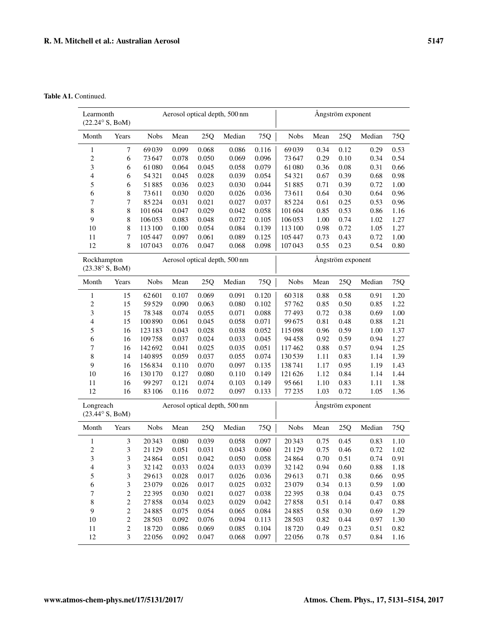Table A1. Continued.

| Learmonth<br>$(22.24^{\circ} S, B \cdot M)$   |                  |                |                |                | Aerosol optical depth, 500 nm |                |                |              | Ångström exponent |              |              |
|-----------------------------------------------|------------------|----------------|----------------|----------------|-------------------------------|----------------|----------------|--------------|-------------------|--------------|--------------|
| Month                                         | Years            | <b>Nobs</b>    | Mean           | 25Q            | Median                        | 75Q            | <b>Nobs</b>    | Mean         | 25Q               | Median       | 75Q          |
| $\mathbf{1}$                                  | 7                | 69039          | 0.099          | 0.068          | 0.086                         | 0.116          | 69039          | 0.34         | 0.12              | 0.29         | 0.53         |
| $\sqrt{2}$                                    | 6                | 73647          | 0.078          | 0.050          | 0.069                         | 0.096          | 73647          | 0.29         | 0.10              | 0.34         | 0.54         |
| $\ensuremath{\mathfrak{Z}}$                   | 6                | 61080          | 0.064          | 0.045          | 0.058                         | 0.079          | 61080          | 0.36         | 0.08              | 0.31         | 0.66         |
| $\overline{4}$                                | 6                | 54 321         | 0.045          | 0.028          | 0.039                         | 0.054          | 54321          | 0.67         | 0.39              | 0.68         | 0.98         |
| 5                                             | 6                | 51885          | 0.036          | 0.023          | 0.030                         | 0.044          | 51885          | 0.71         | 0.39              | 0.72         | 1.00         |
| 6                                             | 8                | 73611          | 0.030          | 0.020          | 0.026                         | 0.036          | 73611          | 0.64         | 0.30              | 0.64         | 0.96         |
| $\tau$                                        | 7                | 85224          | 0.031          | 0.021          | 0.027                         | 0.037          | 85224          | 0.61         | 0.25              | 0.53         | 0.96         |
| 8                                             | 8                | 101604         | 0.047          | 0.029          | 0.042                         | 0.058          | 101604         | 0.85         | 0.53              | 0.86         | 1.16         |
| 9                                             | 8                | 106053         | 0.083          | 0.048          | 0.072                         | 0.105          | 106053         | 1.00         | 0.74              | 1.02         | 1.27         |
| 10                                            | 8                | 113 100        | 0.100          | 0.054          | 0.084                         | 0.139          | 113 100        | 0.98         | 0.72              | 1.05         | 1.27         |
| 11                                            | 7                | 105447         | 0.097          | 0.061          | 0.089                         | 0.125          | 105447         | 0.73         | 0.43              | 0.72         | 1.00         |
| 12                                            | $\,$ 8 $\,$      | 107043         | 0.076          | 0.047          | 0.068                         | 0.098          | 107043         | 0.55         | 0.23              | 0.54         | 0.80         |
| Rockhampton<br>$(23.38^{\circ} S, B \circ M)$ |                  |                |                |                | Aerosol optical depth, 500 nm |                |                |              | Ångström exponent |              |              |
| Month                                         | Years            | <b>Nobs</b>    | Mean           | 25Q            | Median                        | 75Q            | <b>Nobs</b>    | Mean         | 25Q               | Median       | 75Q          |
| $\mathbf{1}$                                  | 15               | 62601          | 0.107          | 0.069          | 0.091                         | 0.120          | 60318          | 0.88         | 0.58              | 0.91         | 1.20         |
| $\sqrt{2}$                                    | 15               | 59529          | 0.090          | 0.063          | 0.080                         | 0.102          | 57762          | 0.85         | 0.50              | 0.85         | 1.22         |
| $\mathfrak{Z}$                                | 15               | 78348          | 0.074          | 0.055          | 0.071                         | 0.088          | 77493          | 0.72         | 0.38              | 0.69         | 1.00         |
| $\overline{\mathcal{A}}$                      | 15               | 100 890        | 0.061          | 0.045          | 0.058                         | 0.071          | 99675          | 0.81         | 0.48              | 0.88         | 1.21         |
| 5                                             | 16               | 123 183        | 0.043          | 0.028          | 0.038                         | 0.052          | 115098         | 0.96         | 0.59              | 1.00         | 1.37         |
| 6                                             | 16               | 109758         | 0.037          | 0.024          | 0.033                         | 0.045          | 94458          | 0.92         | 0.59              | 0.94         | 1.27         |
| 7                                             | 16               | 142692         | 0.041          | 0.025          | 0.035                         | 0.051          | 117462         | 0.88         | 0.57              | 0.94         | 1.25         |
| $\,$ 8 $\,$                                   | 14               | 140895         | 0.059          | 0.037          | 0.055                         | 0.074          | 130539         | 1.11         | 0.83              | 1.14         | 1.39         |
| 9                                             | 16               | 156834         | 0.110          | 0.070          | 0.097                         | 0.135          | 138741         | 1.17         | 0.95              | 1.19         | 1.43         |
| 10                                            | 16               | 130 170        | 0.127          | 0.080          | 0.110                         | 0.149          | 121626         | 1.12         | 0.84              | 1.14         | 1.44         |
| 11                                            | 16               | 99 297         | 0.121          | 0.074          | 0.103                         | 0.149          | 95 661         | 1.10         | 0.83              | 1.11         | 1.38         |
| 12                                            | 16               | 83 106         | 0.116          | 0.072          | 0.097                         | 0.133          | 77235          | 1.03         | 0.72              | 1.05         | 1.36         |
| Longreach<br>$(23.44^{\circ} S, B \circ M)$   |                  |                |                |                | Aerosol optical depth, 500 nm |                |                |              | Ångström exponent |              |              |
|                                               |                  |                |                |                |                               |                |                |              |                   |              |              |
| Month                                         | Years            | <b>Nobs</b>    | Mean           | 25Q            | Median                        | 75Q            | <b>Nobs</b>    | Mean         | 25Q               | Median       | 75Q          |
| $\mathbf{1}$                                  | 3                | 20343          | 0.080          | 0.039          | 0.058                         | 0.097          | 20343          | 0.75         | 0.45              | 0.83         | 1.10         |
| $\overline{c}$                                | 3                | 21 1 29        | 0.051          | 0.031          | 0.043                         | 0.060          | 21 1 29        | 0.75         | 0.46              | 0.72         | 1.02         |
| 3                                             | 3                | 24 8 64        | 0.051          | 0.042          | 0.050                         | 0.058          | 24864          | 0.70         | 0.51              | 0.74         | 0.91         |
| 4                                             | 3                | 32 142         | 0.033          | 0.024          | 0.033                         | 0.039          | 32142          | 0.94         | 0.60              | 0.88         | 1.18         |
| $\mathfrak s$<br>6                            | 3<br>3           | 29613          | 0.028          | 0.017          | 0.026                         | 0.036          | 29613<br>23079 | 0.71         | 0.38              | 0.66         | 0.95         |
| 7                                             | $\overline{c}$   | 23079<br>22395 | 0.026<br>0.030 | 0.017<br>0.021 | 0.025<br>0.027                | 0.032<br>0.038 | 22395          | 0.34<br>0.38 | 0.13<br>0.04      | 0.59<br>0.43 | 1.00<br>0.75 |
| $\,$ 8 $\,$                                   | $\sqrt{2}$       | 27858          | 0.034          | 0.023          | 0.029                         | 0.042          | 27858          | 0.51         | 0.14              | 0.47         | 0.88         |
| 9                                             | $\sqrt{2}$       | 24885          | 0.075          | 0.054          | 0.065                         | 0.084          | 24885          | 0.58         | 0.30              | 0.69         | 1.29         |
| 10                                            | $\overline{c}$   | 28 5 03        | 0.092          | 0.076          | 0.094                         | 0.113          | 28503          | 0.82         | 0.44              | 0.97         | 1.30         |
| 11                                            | $\boldsymbol{2}$ | 18720          | 0.086          | 0.069          | 0.085                         | 0.104          | 18720          | 0.49         | 0.23              | 0.51         | 0.82         |
| 12                                            | 3                | 22056          | 0.092          | 0.047          | 0.068                         | 0.097          | 22056          | 0.78         | 0.57              | 0.84         | 1.16         |
|                                               |                  |                |                |                |                               |                |                |              |                   |              |              |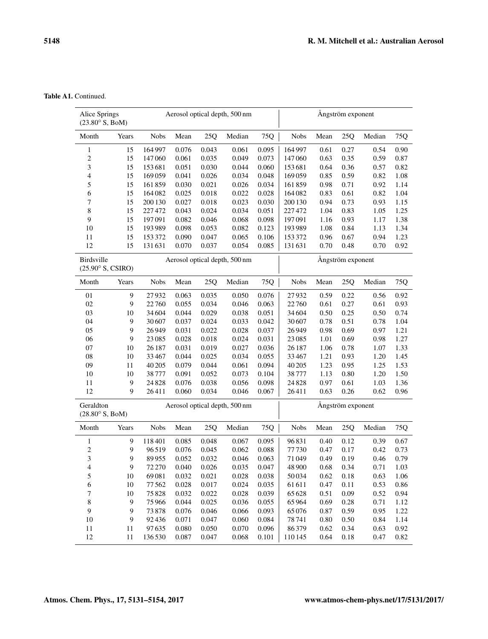Table A1. Continued.

| Alice Springs<br>$(23.80^{\circ} S, B \cdot M)$ |       |             |       |       | Aerosol optical depth, 500 nm |       |             |                   | Ångström exponent |        |      |
|-------------------------------------------------|-------|-------------|-------|-------|-------------------------------|-------|-------------|-------------------|-------------------|--------|------|
| Month                                           | Years | <b>Nobs</b> | Mean  | 25Q   | Median                        | 75Q   | <b>Nobs</b> | Mean              | 25Q               | Median | 75Q  |
| 1                                               | 15    | 164997      | 0.076 | 0.043 | 0.061                         | 0.095 | 164 997     | 0.61              | 0.27              | 0.54   | 0.90 |
| $\overline{\mathbf{c}}$                         | 15    | 147060      | 0.061 | 0.035 | 0.049                         | 0.073 | 147060      | 0.63              | 0.35              | 0.59   | 0.87 |
| 3                                               | 15    | 153681      | 0.051 | 0.030 | 0.044                         | 0.060 | 153681      | 0.64              | 0.36              | 0.57   | 0.82 |
| 4                                               | 15    | 169059      | 0.041 | 0.026 | 0.034                         | 0.048 | 169059      | 0.85              | 0.59              | 0.82   | 1.08 |
| 5                                               | 15    | 161859      | 0.030 | 0.021 | 0.026                         | 0.034 | 161859      | 0.98              | 0.71              | 0.92   | 1.14 |
| 6                                               | 15    | 164082      | 0.025 | 0.018 | 0.022                         | 0.028 | 164082      | 0.83              | 0.61              | 0.82   | 1.04 |
| 7                                               | 15    | 200 130     | 0.027 | 0.018 | 0.023                         | 0.030 | 200 130     | 0.94              | 0.73              | 0.93   | 1.15 |
| 8                                               | 15    | 227472      | 0.043 | 0.024 | 0.034                         | 0.051 | 227472      | 1.04              | 0.83              | 1.05   | 1.25 |
| 9                                               | 15    | 197091      | 0.082 | 0.046 | 0.068                         | 0.098 | 197091      | 1.16              | 0.93              | 1.17   | 1.38 |
| 10                                              | 15    | 193989      | 0.098 | 0.053 | 0.082                         | 0.123 | 193989      | 1.08              | 0.84              | 1.13   | 1.34 |
| 11                                              | 15    | 153 372     | 0.090 | 0.047 | 0.065                         | 0.106 | 153372      | 0.96              | 0.67              | 0.94   | 1.23 |
| 12                                              | 15    | 131631      | 0.070 | 0.037 | 0.054                         | 0.085 | 131631      | 0.70              | 0.48              | 0.70   | 0.92 |
| Birdsville<br>$(25.90^{\circ} S, CSIRO)$        |       |             |       |       | Aerosol optical depth, 500 nm |       |             | Ångström exponent |                   |        |      |
| Month                                           | Years | <b>Nobs</b> | Mean  | 25Q   | Median                        | 75Q   | <b>Nobs</b> | Mean              | 25Q               | Median | 75Q  |
| 01                                              | 9     | 27932       | 0.063 | 0.035 | 0.050                         | 0.076 | 27932       | 0.59              | 0.22              | 0.56   | 0.92 |
| 02                                              | 9     | 22760       | 0.055 | 0.034 | 0.046                         | 0.063 | 22760       | 0.61              | 0.27              | 0.61   | 0.93 |
| 03                                              | 10    | 34 604      | 0.044 | 0.029 | 0.038                         | 0.051 | 34 604      | 0.50              | 0.25              | 0.50   | 0.74 |
| 04                                              | 9     | 30 607      | 0.037 | 0.024 | 0.033                         | 0.042 | 30607       | 0.78              | 0.51              | 0.78   | 1.04 |
| 05                                              | 9     | 26949       | 0.031 | 0.022 | 0.028                         | 0.037 | 26949       | 0.98              | 0.69              | 0.97   | 1.21 |
| 06                                              | 9     | 23 08 5     | 0.028 | 0.018 | 0.024                         | 0.031 | 23 0 85     | 1.01              | 0.69              | 0.98   | 1.27 |
| 07                                              | 10    | 26 187      | 0.031 | 0.019 | 0.027                         | 0.036 | 26 187      | 1.06              | 0.78              | 1.07   | 1.33 |
| 08                                              | 10    | 33467       | 0.044 | 0.025 | 0.034                         | 0.055 | 33467       | 1.21              | 0.93              | 1.20   | 1.45 |
| 09                                              | 11    | 40 20 5     | 0.079 | 0.044 | 0.061                         | 0.094 | 40 20 5     | 1.23              | 0.95              | 1.25   | 1.53 |
| 10                                              | 10    | 38777       | 0.091 | 0.052 | 0.073                         | 0.104 | 38777       | 1.13              | 0.80              | 1.20   | 1.50 |
| 11                                              | 9     | 24828       | 0.076 | 0.038 | 0.056                         | 0.098 | 24828       | 0.97              | 0.61              | 1.03   | 1.36 |
| 12                                              | 9     | 26411       | 0.060 | 0.034 | 0.046                         | 0.067 | 26411       | 0.63              | 0.26              | 0.62   | 0.96 |
| Geraldton<br>$(28.80^{\circ} S, B \cdot M)$     |       |             |       |       | Aerosol optical depth, 500 nm |       |             |                   | Ångström exponent |        |      |
| Month                                           | Years | <b>Nobs</b> | Mean  | 25Q   | Median                        | 75Q   | <b>Nobs</b> | Mean              | 25Q               | Median | 75Q  |
| 1                                               | 9     | 118401      | 0.085 | 0.048 | 0.067                         | 0.095 | 96831       | 0.40              | 0.12              | 0.39   | 0.67 |
| $\overline{\mathbf{c}}$                         | 9     | 96519       | 0.076 | 0.045 | 0.062                         | 0.088 | 77730       | 0.47              | 0.17              | 0.42   | 0.73 |
| 3                                               | 9     | 89955       | 0.052 | 0.032 | 0.046                         | 0.063 | 71049       | 0.49              | 0.19              | 0.46   | 0.79 |
| 4                                               | 9     | 72 270      | 0.040 | 0.026 | 0.035                         | 0.047 | 48 900      | 0.68              | 0.34              | 0.71   | 1.03 |
| 5                                               | 10    | 69081       | 0.032 | 0.021 | 0.028                         | 0.038 | 50034       | 0.62              | 0.18              | 0.63   | 1.06 |
| 6                                               | 10    | 77562       | 0.028 | 0.017 | 0.024                         | 0.035 | 61611       | 0.47              | 0.11              | 0.53   | 0.86 |
| 7                                               | 10    | 75828       | 0.032 | 0.022 | 0.028                         | 0.039 | 65 628      | 0.51              | 0.09              | 0.52   | 0.94 |
| 8                                               | 9     | 75966       | 0.044 | 0.025 | 0.036                         | 0.055 | 65964       | 0.69              | 0.28              | 0.71   | 1.12 |
| 9                                               | 9     | 73878       | 0.076 | 0.046 | 0.066                         | 0.093 | 65076       | 0.87              | 0.59              | 0.95   | 1.22 |
| 10                                              | 9     | 92436       | 0.071 | 0.047 | 0.060                         | 0.084 | 78741       | 0.80              | 0.50              | 0.84   | 1.14 |
| 11                                              | 11    | 97635       | 0.080 | 0.050 | 0.070                         | 0.096 | 86379       | 0.62              | 0.34              | 0.63   | 0.92 |
| 12                                              | 11    | 136530      | 0.087 | 0.047 | 0.068                         | 0.101 | 110145      | 0.64              | 0.18              | 0.47   | 0.82 |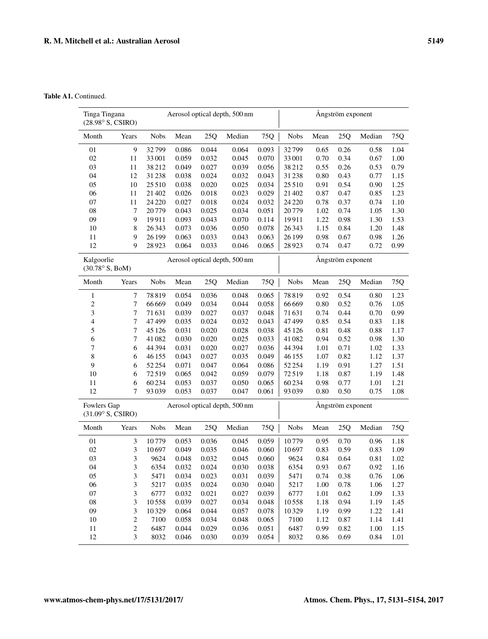Table A1. Continued.

| Tinga Tingana<br>(28.98° S, CSIRO)           |                  | Aerosol optical depth, 500 nm |       |       |        |       | Ångström exponent |      |      |        |      |
|----------------------------------------------|------------------|-------------------------------|-------|-------|--------|-------|-------------------|------|------|--------|------|
| Month                                        | Years            | <b>Nobs</b>                   | Mean  | 25Q   | Median | 75Q   | <b>Nobs</b>       | Mean | 25Q  | Median | 75Q  |
| 01                                           | 9                | 32799                         | 0.086 | 0.044 | 0.064  | 0.093 | 32799             | 0.65 | 0.26 | 0.58   | 1.04 |
| 02                                           | 11               | 33 001                        | 0.059 | 0.032 | 0.045  | 0.070 | 33 001            | 0.70 | 0.34 | 0.67   | 1.00 |
| 03                                           | 11               | 38212                         | 0.049 | 0.027 | 0.039  | 0.056 | 38212             | 0.55 | 0.26 | 0.53   | 0.79 |
| 04                                           | 12               | 31238                         | 0.038 | 0.024 | 0.032  | 0.043 | 31238             | 0.80 | 0.43 | 0.77   | 1.15 |
| 05                                           | 10               | 25510                         | 0.038 | 0.020 | 0.025  | 0.034 | 25510             | 0.91 | 0.54 | 0.90   | 1.25 |
| 06                                           | 11               | 21 402                        | 0.026 | 0.018 | 0.023  | 0.029 | 21 402            | 0.87 | 0.47 | 0.85   | 1.23 |
| 07                                           | 11               | 24 2 20                       | 0.027 | 0.018 | 0.024  | 0.032 | 24 2 20           | 0.78 | 0.37 | 0.74   | 1.10 |
| 08                                           | 7                | 20779                         | 0.043 | 0.025 | 0.034  | 0.051 | 20779             | 1.02 | 0.74 | 1.05   | 1.30 |
| 09                                           | 9                | 19911                         | 0.093 | 0.043 | 0.070  | 0.114 | 19911             | 1.22 | 0.98 | 1.30   | 1.53 |
| 10                                           | 8                | 26343                         | 0.073 | 0.036 | 0.050  | 0.078 | 26 3 43           | 1.15 | 0.84 | 1.20   | 1.48 |
| 11                                           | 9                | 26 199                        | 0.063 | 0.033 | 0.043  | 0.063 | 26 199            | 0.98 | 0.67 | 0.98   | 1.26 |
| 12                                           | 9                | 28923                         | 0.064 | 0.033 | 0.046  | 0.065 | 28923             | 0.74 | 0.47 | 0.72   | 0.99 |
| Kalgoorlie<br>$(30.78^{\circ} S, B \circ M)$ |                  | Aerosol optical depth, 500 nm |       |       |        |       | Ångström exponent |      |      |        |      |
| Month                                        | Years            | ${\rm Nobs}$                  | Mean  | 25Q   | Median | 75Q   | <b>Nobs</b>       | Mean | 25Q  | Median | 75Q  |
| 1                                            | 7                | 78819                         | 0.054 | 0.036 | 0.048  | 0.065 | 78819             | 0.92 | 0.54 | 0.80   | 1.23 |
| $\overline{\mathbf{c}}$                      | 7                | 66 669                        | 0.049 | 0.034 | 0.044  | 0.058 | 66669             | 0.80 | 0.52 | 0.76   | 1.05 |
| 3                                            | 7                | 71631                         | 0.039 | 0.027 | 0.037  | 0.048 | 71631             | 0.74 | 0.44 | 0.70   | 0.99 |
| 4                                            | 7                | 47499                         | 0.035 | 0.024 | 0.032  | 0.043 | 47499             | 0.85 | 0.54 | 0.83   | 1.18 |
| 5                                            | 7                | 45 1 26                       | 0.031 | 0.020 | 0.028  | 0.038 | 45 1 26           | 0.81 | 0.48 | 0.88   | 1.17 |
| 6                                            | $\tau$           | 41082                         | 0.030 | 0.020 | 0.025  | 0.033 | 41082             | 0.94 | 0.52 | 0.98   | 1.30 |
| 7                                            | 6                | 44 3 94                       | 0.031 | 0.020 | 0.027  | 0.036 | 44 3 94           | 1.01 | 0.71 | 1.02   | 1.33 |
| 8                                            | 6                | 46 155                        | 0.043 | 0.027 | 0.035  | 0.049 | 46155             | 1.07 | 0.82 | 1.12   | 1.37 |
| 9                                            | 6                | 52 2 54                       | 0.071 | 0.047 | 0.064  | 0.086 | 52 2 54           | 1.19 | 0.91 | 1.27   | 1.51 |
| 10                                           | 6                | 72519                         | 0.065 | 0.042 | 0.059  | 0.079 | 72519             | 1.18 | 0.87 | 1.19   | 1.48 |
| 11                                           | 6                | 60234                         | 0.053 | 0.037 | 0.050  | 0.065 | 60234             | 0.98 | 0.77 | 1.01   | 1.21 |
| 12                                           | 7                | 93039                         | 0.053 | 0.037 | 0.047  | 0.061 | 93039             | 0.80 | 0.50 | 0.75   | 1.08 |
| Fowlers Gap                                  |                  | Aerosol optical depth, 500 nm |       |       |        |       | Ångström exponent |      |      |        |      |
| $(31.09^\circ S, CSIRO)$                     |                  |                               |       |       |        |       |                   |      |      |        |      |
| Month                                        | Years            | Nobs                          | Mean  | 25Q   | Median | 75Q   | Nobs              | Mean | 25Q  | Median | 75Q  |
| 01                                           | 3                | 10779                         | 0.053 | 0.036 | 0.045  | 0.059 | 10779             | 0.95 | 0.70 | 0.96   | 1.18 |
| 02                                           | 3                | 10697                         | 0.049 | 0.035 | 0.046  | 0.060 | 10697             | 0.83 | 0.59 | 0.83   | 1.09 |
| 03                                           | 3                | 9624                          | 0.048 | 0.032 | 0.045  | 0.060 | 9624              | 0.84 | 0.64 | 0.81   | 1.02 |
| 04                                           | 3                | 6354                          | 0.032 | 0.024 | 0.030  | 0.038 | 6354              | 0.93 | 0.67 | 0.92   | 1.16 |
| 05                                           | $\mathfrak z$    | 5471                          | 0.034 | 0.023 | 0.031  | 0.039 | 5471              | 0.74 | 0.38 | 0.76   | 1.06 |
| 06                                           | $\mathfrak{Z}$   | 5217                          | 0.035 | 0.024 | 0.030  | 0.040 | 5217              | 1.00 | 0.78 | 1.06   | 1.27 |
| 07                                           | $\mathfrak{Z}$   | 6777                          | 0.032 | 0.021 | 0.027  | 0.039 | 6777              | 1.01 | 0.62 | 1.09   | 1.33 |
| 08                                           | $\mathfrak{Z}$   | 10558                         | 0.039 | 0.027 | 0.034  | 0.048 | 10558             | 1.18 | 0.94 | 1.19   | 1.45 |
| 09                                           | $\mathfrak{Z}$   | 10329                         | 0.064 | 0.044 | 0.057  | 0.078 | 10329             | 1.19 | 0.99 | 1.22   | 1.41 |
| 10                                           | $\sqrt{2}$       | 7100                          | 0.058 | 0.034 | 0.048  | 0.065 | 7100              | 1.12 | 0.87 | 1.14   | 1.41 |
| 11                                           | $\boldsymbol{2}$ | 6487                          | 0.044 | 0.029 | 0.036  | 0.051 | 6487              | 0.99 | 0.82 | 1.00   | 1.15 |
| 12                                           | $\mathfrak{Z}$   | 8032                          | 0.046 | 0.030 | 0.039  | 0.054 | 8032              | 0.86 | 0.69 | 0.84   | 1.01 |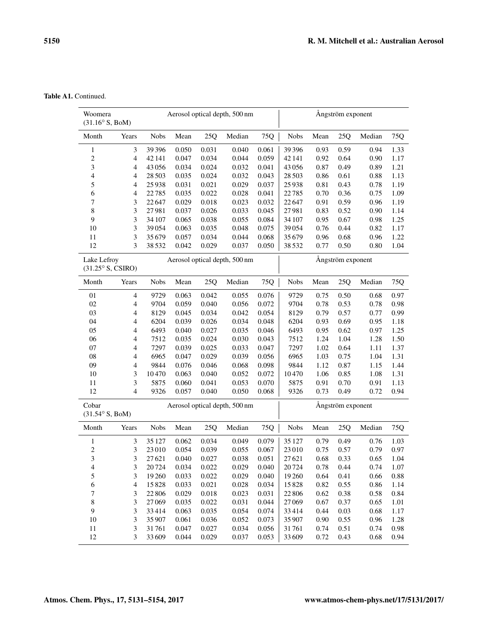Table A1. Continued.

| Woomera<br>$(31.16^{\circ} S, B \cdot M)$ |                          | Aerosol optical depth, 500 nm |       |       |                               |       | Ångström exponent |                   |      |        |      |  |
|-------------------------------------------|--------------------------|-------------------------------|-------|-------|-------------------------------|-------|-------------------|-------------------|------|--------|------|--|
| Month                                     | Years                    | <b>Nobs</b>                   | Mean  | 25Q   | Median                        | 75Q   | <b>Nobs</b>       | Mean              | 25Q  | Median | 75Q  |  |
| 1                                         | 3                        | 39 3 9 6                      | 0.050 | 0.031 | 0.040                         | 0.061 | 39396             | 0.93              | 0.59 | 0.94   | 1.33 |  |
| $\sqrt{2}$                                | $\overline{4}$           | 42 14 1                       | 0.047 | 0.034 | 0.044                         | 0.059 | 42 14 1           | 0.92              | 0.64 | 0.90   | 1.17 |  |
| 3                                         | $\overline{4}$           | 43056                         | 0.034 | 0.024 | 0.032                         | 0.041 | 43056             | 0.87              | 0.49 | 0.89   | 1.21 |  |
| $\overline{4}$                            | 4                        | 28 5 03                       | 0.035 | 0.024 | 0.032                         | 0.043 | 28 5 03           | 0.86              | 0.61 | 0.88   | 1.13 |  |
| 5                                         | 4                        | 25938                         | 0.031 | 0.021 | 0.029                         | 0.037 | 25938             | 0.81              | 0.43 | 0.78   | 1.19 |  |
| 6                                         | 4                        | 22785                         | 0.035 | 0.022 | 0.028                         | 0.041 | 22785             | 0.70              | 0.36 | 0.75   | 1.09 |  |
| 7                                         | 3                        | 22647                         | 0.029 | 0.018 | 0.023                         | 0.032 | 22647             | 0.91              | 0.59 | 0.96   | 1.19 |  |
| $\,$ 8 $\,$                               | 3                        | 27981                         | 0.037 | 0.026 | 0.033                         | 0.045 | 27981             | 0.83              | 0.52 | 0.90   | 1.14 |  |
| 9                                         | 3                        | 34 107                        | 0.065 | 0.038 | 0.055                         | 0.084 | 34 107            | 0.95              | 0.67 | 0.98   | 1.25 |  |
| $10\,$                                    | 3                        | 39054                         | 0.063 | 0.035 | 0.048                         | 0.075 | 39054             | 0.76              | 0.44 | 0.82   | 1.17 |  |
| 11                                        | 3                        | 35 679                        | 0.057 | 0.034 | 0.044                         | 0.068 | 35679             | 0.96              | 0.68 | 0.96   | 1.22 |  |
| 12                                        | 3                        | 38532                         | 0.042 | 0.029 | 0.037                         | 0.050 | 38532             | 0.77              | 0.50 | 0.80   | 1.04 |  |
| Lake Lefroy<br>$(31.25^{\circ} S, CSIRO)$ |                          | Aerosol optical depth, 500 nm |       |       |                               |       | Ångström exponent |                   |      |        |      |  |
| Month                                     | Years                    | <b>Nobs</b>                   | Mean  | 25Q   | Median                        | 75Q   | <b>Nobs</b>       | Mean              | 250  | Median | 75Q  |  |
| 01                                        | $\overline{4}$           | 9729                          | 0.063 | 0.042 | 0.055                         | 0.076 | 9729              | 0.75              | 0.50 | 0.68   | 0.97 |  |
| $02\,$                                    | $\overline{4}$           | 9704                          | 0.059 | 0.040 | 0.056                         | 0.072 | 9704              | 0.78              | 0.53 | 0.78   | 0.98 |  |
| 03                                        | 4                        | 8129                          | 0.045 | 0.034 | 0.042                         | 0.054 | 8129              | 0.79              | 0.57 | 0.77   | 0.99 |  |
| 04                                        | 4                        | 6204                          | 0.039 | 0.026 | 0.034                         | 0.048 | 6204              | 0.93              | 0.69 | 0.95   | 1.18 |  |
| 05                                        | 4                        | 6493                          | 0.040 | 0.027 | 0.035                         | 0.046 | 6493              | 0.95              | 0.62 | 0.97   | 1.25 |  |
| 06                                        | 4                        | 7512                          | 0.035 | 0.024 | 0.030                         | 0.043 | 7512              | 1.24              | 1.04 | 1.28   | 1.50 |  |
| 07                                        | 4                        | 7297                          | 0.039 | 0.025 | 0.033                         | 0.047 | 7297              | 1.02              | 0.64 | 1.11   | 1.37 |  |
| ${\bf 08}$                                | 4                        | 6965                          | 0.047 | 0.029 | 0.039                         | 0.056 | 6965              | 1.03              | 0.75 | 1.04   | 1.31 |  |
| 09                                        | 4                        | 9844                          | 0.076 | 0.046 | 0.068                         | 0.098 | 9844              | 1.12              | 0.87 | 1.15   | 1.44 |  |
| 10                                        | 3                        | 10470                         | 0.063 | 0.040 | 0.052                         | 0.072 | 10470             | 1.06              | 0.85 | 1.08   | 1.31 |  |
| 11                                        | 3                        | 5875                          | 0.060 | 0.041 | 0.053                         | 0.070 | 5875              | 0.91              | 0.70 | 0.91   | 1.13 |  |
| 12                                        | $\overline{4}$           | 9326                          | 0.057 | 0.040 | 0.050                         | 0.068 | 9326              | 0.73              | 0.49 | 0.72   | 0.94 |  |
| Cobar<br>$(31.54^{\circ} S, B \circ M)$   |                          |                               |       |       | Aerosol optical depth, 500 nm |       |                   | Ångström exponent |      |        |      |  |
| Month                                     | Years                    | <b>Nobs</b>                   | Mean  | 25Q   | Median                        | 75Q   | <b>Nobs</b>       | Mean              | 25Q  | Median | 75Q  |  |
| $\mathbf{1}$                              | 3                        | 35 127                        | 0.062 | 0.034 | 0.049                         | 0.079 | 35 1 27           | 0.79              | 0.49 | 0.76   | 1.03 |  |
| $\sqrt{2}$                                | 3                        | 23 010                        | 0.054 | 0.039 | 0.055                         | 0.067 | 23010             | 0.75              | 0.57 | 0.79   | 0.97 |  |
| 3                                         | 3                        | 27621                         | 0.040 | 0.027 | 0.038                         | 0.051 | 27621             | 0.68              | 0.33 | 0.65   | 1.04 |  |
| 4                                         | 3                        | 20724                         | 0.034 | 0.022 | 0.029                         | 0.040 | 20724             | 0.78              | 0.44 | 0.74   | 1.07 |  |
| 5                                         | 3                        | 19 260                        | 0.033 | 0.022 | 0.029                         | 0.040 | 19 260            | 0.64              | 0.41 | 0.66   | 0.88 |  |
| 6                                         | $\overline{\mathcal{A}}$ | 15828                         | 0.033 | 0.021 | 0.028                         | 0.034 | 15828             | 0.82              | 0.55 | 0.86   | 1.14 |  |
| 7                                         | 3                        | 22 806                        | 0.029 | 0.018 | 0.023                         | 0.031 | 22806             | 0.62              | 0.38 | 0.58   | 0.84 |  |
| $\,$ 8 $\,$                               | $\mathfrak 3$            | 27069                         | 0.035 | 0.022 | 0.031                         | 0.044 | 27069             | 0.67              | 0.37 | 0.65   | 1.01 |  |
| 9                                         | $\mathfrak{Z}$           | 33414                         | 0.063 | 0.035 | 0.054                         | 0.074 | 33414             | 0.44              | 0.03 | 0.68   | 1.17 |  |
| 10                                        | $\mathfrak z$            | 35 907                        | 0.061 | 0.036 | 0.052                         | 0.073 | 35 907            | 0.90              | 0.55 | 0.96   | 1.28 |  |
| 11                                        | $\mathfrak z$            | 31761                         | 0.047 | 0.027 | 0.034                         | 0.056 | 31761             | 0.74              | 0.51 | 0.74   | 0.98 |  |
| 12                                        | 3                        | 33 609                        | 0.044 | 0.029 | 0.037                         | 0.053 | 33 609            | 0.72              | 0.43 | 0.68   | 0.94 |  |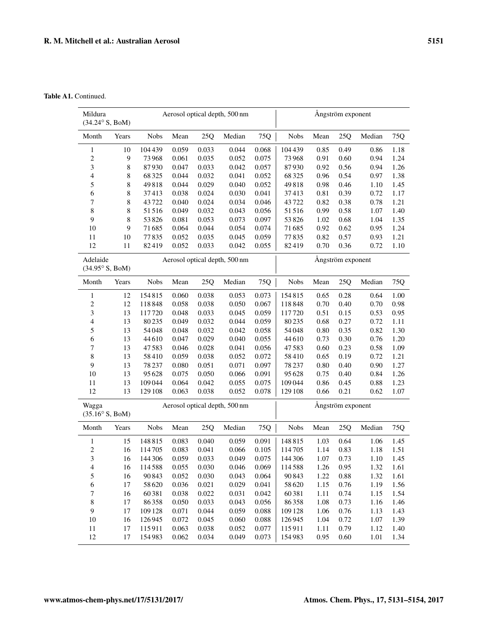Table A1. Continued.

| Mildura<br>$(34.24^{\circ} S, B \circ M)$  |                               |             |       | Aerosol optical depth, 500 nm | Ångström exponent             |       |                   |      |      |        |      |
|--------------------------------------------|-------------------------------|-------------|-------|-------------------------------|-------------------------------|-------|-------------------|------|------|--------|------|
| Month                                      | Years                         | <b>Nobs</b> | Mean  | 25Q                           | Median                        | 75Q   | <b>Nobs</b>       | Mean | 25Q  | Median | 75Q  |
| $\mathbf{1}$                               | 10                            | 104 439     | 0.059 | 0.033                         | 0.044                         | 0.068 | 104439            | 0.85 | 0.49 | 0.86   | 1.18 |
| $\sqrt{2}$                                 | 9                             | 73968       | 0.061 | 0.035                         | 0.052                         | 0.075 | 73968             | 0.91 | 0.60 | 0.94   | 1.24 |
| $\ensuremath{\mathfrak{Z}}$                | $\,$ 8 $\,$                   | 87930       | 0.047 | 0.033                         | 0.042                         | 0.057 | 87930             | 0.92 | 0.56 | 0.94   | 1.26 |
| $\overline{\mathcal{A}}$                   | 8                             | 68 3 25     | 0.044 | 0.032                         | 0.041                         | 0.052 | 68325             | 0.96 | 0.54 | 0.97   | 1.38 |
| $\mathfrak s$                              | 8                             | 49818       | 0.044 | 0.029                         | 0.040                         | 0.052 | 49818             | 0.98 | 0.46 | 1.10   | 1.45 |
| 6                                          | 8                             | 37413       | 0.038 | 0.024                         | 0.030                         | 0.041 | 37413             | 0.81 | 0.39 | 0.72   | 1.17 |
| $\tau$                                     | 8                             | 43722       | 0.040 | 0.024                         | 0.034                         | 0.046 | 43722             | 0.82 | 0.38 | 0.78   | 1.21 |
| 8                                          | 8                             | 51516       | 0.049 | 0.032                         | 0.043                         | 0.056 | 51516             | 0.99 | 0.58 | 1.07   | 1.40 |
| 9                                          | 8                             | 53826       | 0.081 | 0.053                         | 0.073                         | 0.097 | 53826             | 1.02 | 0.68 | 1.04   | 1.35 |
| 10                                         | 9                             | 71685       | 0.064 | 0.044                         | 0.054                         | 0.074 | 71685             | 0.92 | 0.62 | 0.95   | 1.24 |
| 11                                         | $10\,$                        | 77835       | 0.052 | 0.035                         | 0.045                         | 0.059 | 77835             | 0.82 | 0.57 | 0.93   | 1.21 |
| 12                                         | 11                            | 82419       | 0.052 | 0.033                         | 0.042                         | 0.055 | 82419             | 0.70 | 0.36 | 0.72   | 1.10 |
| Adelaide<br>$(34.95^{\circ} S, B \circ M)$ |                               |             |       |                               | Aerosol optical depth, 500 nm |       | Ångström exponent |      |      |        |      |
| Month                                      | Years                         | <b>Nobs</b> | Mean  | 25Q                           | Median                        | 75Q   | <b>Nobs</b>       | Mean | 25Q  | Median | 75Q  |
| $\mathbf{1}$                               | 12                            | 154815      | 0.060 | 0.038                         | 0.053                         | 0.073 | 154815            | 0.65 | 0.28 | 0.64   | 1.00 |
| $\sqrt{2}$                                 | 12                            | 118848      | 0.058 | 0.038                         | 0.050                         | 0.067 | 118848            | 0.70 | 0.40 | 0.70   | 0.98 |
| $\ensuremath{\mathfrak{Z}}$                | 13                            | 117720      | 0.048 | 0.033                         | 0.045                         | 0.059 | 117720            | 0.51 | 0.15 | 0.53   | 0.95 |
| $\overline{\mathcal{A}}$                   | 13                            | 80235       | 0.049 | 0.032                         | 0.044                         | 0.059 | 80235             | 0.68 | 0.27 | 0.72   | 1.11 |
| $\mathfrak s$                              | 13                            | 54048       | 0.048 | 0.032                         | 0.042                         | 0.058 | 54048             | 0.80 | 0.35 | 0.82   | 1.30 |
| 6                                          | 13                            | 44610       | 0.047 | 0.029                         | 0.040                         | 0.055 | 44610             | 0.73 | 0.30 | 0.76   | 1.20 |
| $\boldsymbol{7}$                           | 13                            | 47583       | 0.046 | 0.028                         | 0.041                         | 0.056 | 47583             | 0.60 | 0.23 | 0.58   | 1.09 |
| $\,$ 8 $\,$                                | 13                            | 58410       | 0.059 | 0.038                         | 0.052                         | 0.072 | 58410             | 0.65 | 0.19 | 0.72   | 1.21 |
| 9                                          | 13                            | 78 237      | 0.080 | 0.051                         | 0.071                         | 0.097 | 78237             | 0.80 | 0.40 | 0.90   | 1.27 |
| 10                                         | 13                            | 95 628      | 0.075 | 0.050                         | 0.066                         | 0.091 | 95628             | 0.75 | 0.40 | 0.84   | 1.26 |
| 11                                         | 13                            | 109044      | 0.064 | 0.042                         | 0.055                         | 0.075 | 109044            | 0.86 | 0.45 | 0.88   | 1.23 |
| 12                                         | 13                            | 129 108     | 0.063 | 0.038                         | 0.052                         | 0.078 | 129 108           | 0.66 | 0.21 | 0.62   | 1.07 |
| Wagga                                      | Aerosol optical depth, 500 nm |             |       |                               |                               |       | Ångström exponent |      |      |        |      |
| $(35.16^{\circ} S, B \cdot M)$             |                               |             |       |                               |                               |       |                   |      |      |        |      |
| Month                                      | Years                         | <b>Nobs</b> | Mean  | 25Q                           | Median                        | 75Q   | <b>Nobs</b>       | Mean | 25Q  | Median | 75Q  |
| $\mathbf{1}$                               | 15                            | 148815      | 0.083 | 0.040                         | 0.059                         | 0.091 | 148815            | 1.03 | 0.64 | 1.06   | 1.45 |
| $\overline{c}$                             | 16                            | 114705      | 0.083 | 0.041                         | 0.066                         | 0.105 | 114705            | 1.14 | 0.83 | 1.18   | 1.51 |
| 3                                          | 16                            | 144 306     | 0.059 | 0.033                         | 0.049                         | 0.075 | 144 306           | 1.07 | 0.73 | 1.10   | 1.45 |
| 4                                          | 16                            | 114588      | 0.055 | 0.030                         | 0.046                         | 0.069 | 114588            | 1.26 | 0.95 | 1.32   | 1.61 |
| $\mathfrak s$                              | 16                            | 90 843      | 0.052 | 0.030                         | 0.043                         | 0.064 | 90843             | 1.22 | 0.88 | 1.32   | 1.61 |
| 6                                          | 17                            | 58 6 20     | 0.036 | 0.021                         | 0.029                         | 0.041 | 58620             | 1.15 | 0.76 | 1.19   | 1.56 |
| $\boldsymbol{7}$                           | 16                            | 60381       | 0.038 | 0.022                         | 0.031                         | 0.042 | 60381             | 1.11 | 0.74 | 1.15   | 1.54 |
| $\,$ 8 $\,$                                | 17                            | 86358       | 0.050 | 0.033                         | 0.043                         | 0.056 | 86358             | 1.08 | 0.73 | 1.16   | 1.46 |
| 9                                          | 17                            | 109 128     | 0.071 | 0.044                         | 0.059                         | 0.088 | 109128            | 1.06 | 0.76 | 1.13   | 1.43 |
| 10                                         | 16                            | 126945      | 0.072 | 0.045                         | 0.060                         | 0.088 | 126945            | 1.04 | 0.72 | 1.07   | 1.39 |
| 11                                         | 17                            | 115911      | 0.063 | 0.038                         | 0.052                         | 0.077 | 115911            | 1.11 | 0.79 | 1.12   | 1.40 |
| 12                                         | 17                            | 154983      | 0.062 | 0.034                         | 0.049                         | 0.073 | 154983            | 0.95 | 0.60 | 1.01   | 1.34 |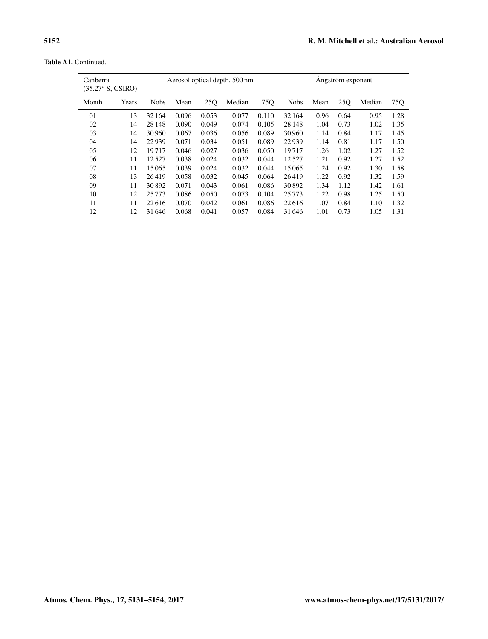Table A1. Continued.

| Canberra<br>(35.27° S, CSIRO) |       |             |       |       | Aerosol optical depth, 500 nm | Angström exponent |             |      |      |        |      |
|-------------------------------|-------|-------------|-------|-------|-------------------------------|-------------------|-------------|------|------|--------|------|
| Month                         | Years | <b>Nobs</b> | Mean  | 25Q   | Median                        | 75Q               | <b>Nobs</b> | Mean | 25Q  | Median | 75Q  |
| 01                            | 13    | 32 164      | 0.096 | 0.053 | 0.077                         | 0.110             | 32164       | 0.96 | 0.64 | 0.95   | 1.28 |
| 02                            | 14    | 28 148      | 0.090 | 0.049 | 0.074                         | 0.105             | 28 148      | 1.04 | 0.73 | 1.02   | 1.35 |
| 03                            | 14    | 30960       | 0.067 | 0.036 | 0.056                         | 0.089             | 30960       | 1.14 | 0.84 | 1.17   | 1.45 |
| 04                            | 14    | 22939       | 0.071 | 0.034 | 0.051                         | 0.089             | 22939       | 1.14 | 0.81 | 1.17   | 1.50 |
| 05                            | 12    | 19717       | 0.046 | 0.027 | 0.036                         | 0.050             | 19717       | 1.26 | 1.02 | 1.27   | 1.52 |
| 06                            | 11    | 12.527      | 0.038 | 0.024 | 0.032                         | 0.044             | 12527       | 1.21 | 0.92 | 1.27   | 1.52 |
| 07                            | 11    | 15065       | 0.039 | 0.024 | 0.032                         | 0.044             | 15065       | 1.24 | 0.92 | 1.30   | 1.58 |
| 08                            | 13    | 26419       | 0.058 | 0.032 | 0.045                         | 0.064             | 26419       | 1.22 | 0.92 | 1.32   | 1.59 |
| 09                            | 11    | 30892       | 0.071 | 0.043 | 0.061                         | 0.086             | 30892       | 1.34 | 1.12 | 1.42   | 1.61 |
| 10                            | 12    | 25773       | 0.086 | 0.050 | 0.073                         | 0.104             | 25 7 7 3    | 1.22 | 0.98 | 1.25   | 1.50 |
| 11                            | 11    | 22616       | 0.070 | 0.042 | 0.061                         | 0.086             | 22616       | 1.07 | 0.84 | 1.10   | 1.32 |
| 12                            | 12    | 31646       | 0.068 | 0.041 | 0.057                         | 0.084             | 31646       | 1.01 | 0.73 | 1.05   | 1.31 |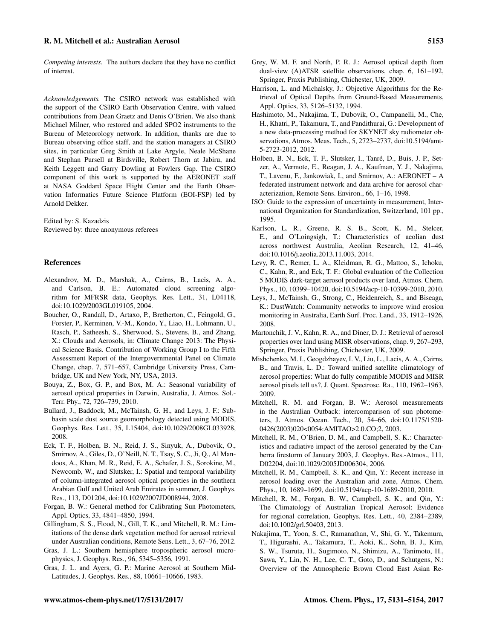## R. M. Mitchell et al.: Australian Aerosol 5153

*Competing interests.* The authors declare that they have no conflict of interest.

*Acknowledgements.* The CSIRO network was established with the support of the CSIRO Earth Observation Centre, with valued contributions from Dean Graetz and Denis O'Brien. We also thank Michael Milner, who restored and added SPO2 instruments to the Bureau of Meteorology network. In addition, thanks are due to Bureau observing office staff, and the station managers at CSIRO sites, in particular Greg Smith at Lake Argyle, Neale McShane and Stephan Pursell at Birdsville, Robert Thorn at Jabiru, and Keith Leggett and Garry Dowling at Fowlers Gap. The CSIRO component of this work is supported by the AERONET staff at NASA Goddard Space Flight Center and the Earth Observation Informatics Future Science Platform (EOI-FSP) led by Arnold Dekker.

Edited by: S. Kazadzis Reviewed by: three anonymous referees

#### References

- <span id="page-22-21"></span>Alexandrov, M. D., Marshak, A., Cairns, B., Lacis, A. A., and Carlson, B. E.: Automated cloud screening algorithm for MFRSR data, Geophys. Res. Lett., 31, L04118, doi[:10.1029/2003GL019105,](http://dx.doi.org/10.1029/2003GL019105) 2004.
- <span id="page-22-0"></span>Boucher, O., Randall, D., Artaxo, P., Bretherton, C., Feingold, G., Forster, P., Kerminen, V.-M., Kondo, Y., Liao, H., Lohmann, U., Rasch, P., Satheesh, S., Sherwood, S., Stevens, B., and Zhang, X.: Clouds and Aerosols, in: Climate Change 2013: The Physical Science Basis. Contribution of Working Group I to the Fifth Assessment Report of the Intergovernmental Panel on Climate Change, chap. 7, 571–657, Cambridge University Press, Cambridge, UK and New York, NY, USA, 2013.
- <span id="page-22-12"></span>Bouya, Z., Box, G. P., and Box, M. A.: Seasonal variability of aerosol optical properties in Darwin, Australia, J. Atmos. Sol.- Terr. Phy., 72, 726–739, 2010.
- <span id="page-22-15"></span>Bullard, J., Baddock, M., McTainsh, G. H., and Leys, J. F.: Subbasin scale dust source geomorphology detected using MODIS, Geophys. Res. Lett., 35, L15404, doi[:10.1029/2008GL033928,](http://dx.doi.org/10.1029/2008GL033928) 2008.
- <span id="page-22-4"></span>Eck, T. F., Holben, B. N., Reid, J. S., Sinyuk, A., Dubovik, O., Smirnov, A., Giles, D., O'Neill, N. T., Tsay, S. C., Ji, Q., Al Mandoos, A., Khan, M. R., Reid, E. A., Schafer, J. S., Sorokine, M., Newcomb, W., and Slutsker, I.: Spatial and temporal variability of column-integrated aerosol optical properties in the southern Arabian Gulf and United Arab Emirates in summer, J. Geophys. Res., 113, D01204, doi[:10.1029/2007JD008944,](http://dx.doi.org/10.1029/2007JD008944) 2008.
- <span id="page-22-19"></span>Forgan, B. W.: General method for Calibrating Sun Photometers, Appl. Optics, 33, 4841–4850, 1994.
- <span id="page-22-17"></span>Gillingham, S. S., Flood, N., Gill, T. K., and Mitchell, R. M.: Limitations of the dense dark vegetation method for aerosol retrieval under Australian conditions, Remote Sens. Lett., 3, 67–76, 2012.
- <span id="page-22-11"></span>Gras, J. L.: Southern hemisphere tropospheric aerosol microphysics, J. Geophys. Res., 96, 5345–5356, 1991.
- <span id="page-22-10"></span>Gras, J. L. and Ayers, G. P.: Marine Aerosol at Southern Mid-Latitudes, J. Geophys. Res., 88, 10661–10666, 1983.
- <span id="page-22-7"></span>Grey, W. M. F. and North, P. R. J.: Aerosol optical depth ftom dual-view (A)ATSR satellite observations, chap. 6, 161–192, Springer, Praxis Publishing, Chichester, UK, 2009.
- <span id="page-22-20"></span>Harrison, L. and Michalsky, J.: Objective Algorithms for the Retrieval of Optical Depths from Ground-Based Measurements, Appl. Optics, 33, 5126–5132, 1994.
- <span id="page-22-3"></span>Hashimoto, M., Nakajima, T., Dubovik, O., Campanelli, M., Che, H., Khatri, P., Takamura, T., and Pandithurai, G.: Development of a new data-processing method for SKYNET sky radiometer observations, Atmos. Meas. Tech., 5, 2723–2737, doi[:10.5194/amt-](http://dx.doi.org/10.5194/amt-5-2723-2012)[5-2723-2012,](http://dx.doi.org/10.5194/amt-5-2723-2012) 2012.
- <span id="page-22-1"></span>Holben, B. N., Eck, T. F., Slutsker, I., Tanré, D., Buis, J. P., Setzer, A., Vermote, E., Reagan, J. A., Kaufman, Y. J., Nakajima, T., Lavenu, F., Jankowiak, I., and Smirnov, A.: AERONET – A federated instrument network and data archive for aerosol characterization, Remote Sens. Environ., 66, 1–16, 1998.
- <span id="page-22-22"></span>ISO: Guide to the expression of uncertainty in measurement, International Organization for Standardization, Switzerland, 101 pp., 1995.
- <span id="page-22-23"></span>Karlson, L. R., Greene, R. S. B., Scott, K. M., Stelcer, E., and O'Loingsigh, T.: Characteristics of aeolian dust across northwest Australia, Aeolian Research, 12, 41–46, doi[:10.1016/j.aeolia.2013.11.003,](http://dx.doi.org/10.1016/j.aeolia.2013.11.003) 2014.
- <span id="page-22-5"></span>Levy, R. C., Remer, L. A., Kleidman, R. G., Mattoo, S., Ichoku, C., Kahn, R., and Eck, T. F.: Global evaluation of the Collection 5 MODIS dark-target aerosol products over land, Atmos. Chem. Phys., 10, 10399–10420, doi[:10.5194/acp-10-10399-2010,](http://dx.doi.org/10.5194/acp-10-10399-2010) 2010.
- <span id="page-22-14"></span>Leys, J., McTainsh, G., Strong, C., Heidenreich, S., and Biseaga, K.: DustWatch: Community networks to improve wind erosion monitoring in Australia, Earth Surf. Proc. Land., 33, 1912–1926, 2008.
- <span id="page-22-6"></span>Martonchik, J. V., Kahn, R. A., and Diner, D. J.: Retrieval of aerosol properties over land using MISR observations, chap. 9, 267–293, Springer, Praxis Publishing, Chichester, UK, 2009.
- <span id="page-22-8"></span>Mishchenko, M. I., Geogdzhayev, I. V., Liu, L., Lacis, A. A., Cairns, B., and Travis, L. D.: Toward unified satellite climatology of aerosol properties: What do fully compatible MODIS and MISR aerosol pixels tell us?, J. Quant. Spectrosc. Ra., 110, 1962–1963, 2009.
- <span id="page-22-18"></span>Mitchell, R. M. and Forgan, B. W.: Aerosol measurements in the Australian Outback: intercomparison of sun photometers, J. Atmos. Ocean. Tech., 20, 54–66, doi[:10.1175/1520-](http://dx.doi.org/10.1175/1520-0426(2003)020<0054:AMITAO>2.0.CO;2) [0426\(2003\)020<0054:AMITAO>2.0.CO;2,](http://dx.doi.org/10.1175/1520-0426(2003)020<0054:AMITAO>2.0.CO;2) 2003.
- <span id="page-22-13"></span>Mitchell, R. M., O'Brien, D. M., and Campbell, S. K.: Characteristics and radiative impact of the aerosol generated by the Canberra firestorm of January 2003, J. Geophys. Res.-Atmos., 111, D02204, doi[:10.1029/2005JD006304,](http://dx.doi.org/10.1029/2005JD006304) 2006.
- <span id="page-22-16"></span>Mitchell, R. M., Campbell, S. K., and Qin, Y.: Recent increase in aerosol loading over the Australian arid zone, Atmos. Chem. Phys., 10, 1689–1699, doi[:10.5194/acp-10-1689-2010,](http://dx.doi.org/10.5194/acp-10-1689-2010) 2010.
- <span id="page-22-9"></span>Mitchell, R. M., Forgan, B. W., Campbell, S. K., and Qin, Y.: The Climatology of Australian Tropical Aerosol: Evidence for regional correlation, Geophys. Res. Lett., 40, 2384–2389, doi[:10.1002/grl.50403,](http://dx.doi.org/10.1002/grl.50403) 2013.
- <span id="page-22-2"></span>Nakajima, T., Yoon, S. C., Ramanathan, V., Shi, G. Y., Takemura, T., Higurashi, A., Takamura, T., Aoki, K., Sohn, B. J., Kim, S. W., Tsuruta, H., Sugimoto, N., Shimizu, A., Tanimoto, H., Sawa, Y., Lin, N. H., Lee, C. T., Goto, D., and Schutgens, N.: Overview of the Atmospheric Brown Cloud East Asian Re-